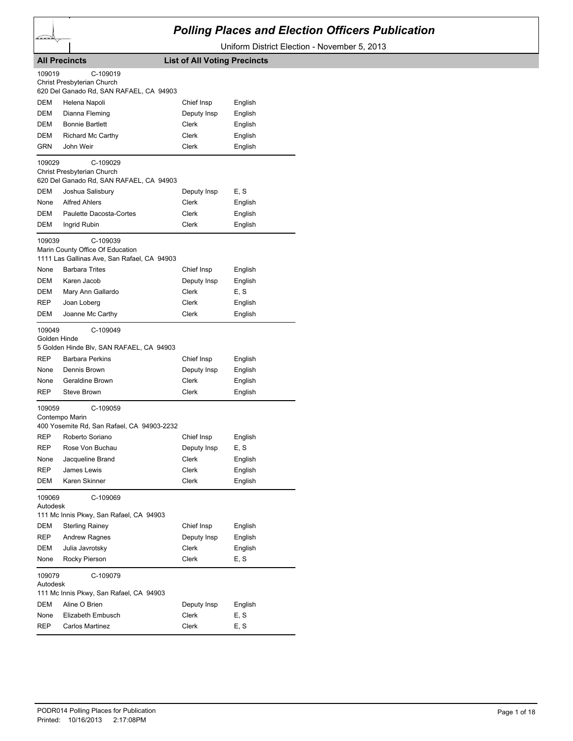

## *Polling Places and Election Officers Publication*

Uniform District Election - November 5, 2013

|                        | <b>All Precincts</b>                                                  | <b>List of All Voting Precincts</b> |         |
|------------------------|-----------------------------------------------------------------------|-------------------------------------|---------|
| 109019                 | C-109019                                                              |                                     |         |
|                        | Christ Presbyterian Church<br>620 Del Ganado Rd, SAN RAFAEL, CA 94903 |                                     |         |
| DEM                    | Helena Napoli                                                         | Chief Insp                          | English |
| <b>DEM</b>             | Dianna Fleming                                                        | Deputy Insp                         | English |
| DEM                    | <b>Bonnie Bartlett</b>                                                | Clerk                               | English |
| DEM                    | <b>Richard Mc Carthy</b>                                              | Clerk                               | English |
| GRN                    | John Weir                                                             | Clerk                               | English |
|                        |                                                                       |                                     |         |
| 109029                 | C-109029                                                              |                                     |         |
|                        | Christ Presbyterian Church<br>620 Del Ganado Rd, SAN RAFAEL, CA 94903 |                                     |         |
| DEM                    | Joshua Salisbury                                                      | Deputy Insp                         | E, S    |
| None                   | <b>Alfred Ahlers</b>                                                  | Clerk                               | English |
| DEM                    | Paulette Dacosta-Cortes                                               | Clerk                               | English |
| DEM                    | Ingrid Rubin                                                          | Clerk                               | English |
| 109039                 | C-109039                                                              |                                     |         |
|                        | Marin County Office Of Education                                      |                                     |         |
|                        | 1111 Las Gallinas Ave, San Rafael, CA 94903                           |                                     |         |
| None                   | <b>Barbara Trites</b>                                                 | Chief Insp                          | English |
| DEM                    | Karen Jacob                                                           | Deputy Insp                         | English |
| DEM                    | Mary Ann Gallardo                                                     | Clerk                               | E, S    |
| REP                    | Joan Loberg                                                           | Clerk                               | English |
| DEM                    | Joanne Mc Carthy                                                      | Clerk                               | English |
| 109049<br>Golden Hinde | C-109049<br>5 Golden Hinde Blv, SAN RAFAEL, CA 94903                  |                                     |         |
| <b>REP</b>             | <b>Barbara Perkins</b>                                                | Chief Insp                          | English |
| None                   | Dennis Brown                                                          | Deputy Insp                         | English |
| None                   | Geraldine Brown                                                       | Clerk                               | English |
| REP                    | Steve Brown                                                           | Clerk                               | English |
| 109059                 | C-109059                                                              |                                     |         |
|                        | Contempo Marin<br>400 Yosemite Rd, San Rafael, CA 94903-2232          |                                     |         |
| REP                    | Roberto Soriano                                                       | Chief Insp                          | English |
| <b>REP</b>             | Rose Von Buchau                                                       | Deputy Insp                         | E, S    |
| None                   | Jacqueline Brand                                                      | Clerk                               | English |
| REP                    | James Lewis                                                           | Clerk                               | English |
| DEM                    | Karen Skinner                                                         | Clerk                               | English |
| 109069<br>Autodesk     | C-109069                                                              |                                     |         |
|                        | 111 Mc Innis Pkwy, San Rafael, CA 94903                               |                                     |         |
| DEM                    | <b>Sterling Rainey</b>                                                | Chief Insp                          | English |
| REP                    | <b>Andrew Ragnes</b>                                                  | Deputy Insp                         | English |
| DEM                    | Julia Javrotsky                                                       | Clerk                               | English |
| None                   | Rocky Pierson                                                         | Clerk                               | E, S    |
| 109079<br>Autodesk     | C-109079                                                              |                                     |         |
|                        | 111 Mc Innis Pkwy, San Rafael, CA 94903                               |                                     |         |
| DEM                    | Aline O Brien                                                         | Deputy Insp                         | English |
| None                   | Elizabeth Embusch                                                     | Clerk                               | E, S    |
| <b>REP</b>             | Carlos Martinez                                                       | Clerk                               | E, S    |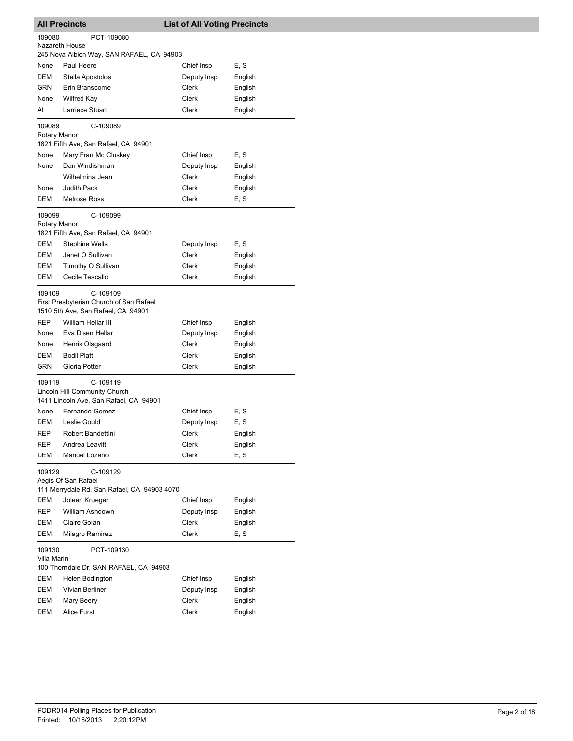| <b>All Precincts</b>   |                                                                                                                 | <b>List of All Voting Precincts</b> |                    |  |
|------------------------|-----------------------------------------------------------------------------------------------------------------|-------------------------------------|--------------------|--|
| 109080                 | PCT-109080                                                                                                      |                                     |                    |  |
| Nazareth House         | 245 Nova Albion Way, SAN RAFAEL, CA 94903                                                                       |                                     |                    |  |
| None                   | Paul Heere                                                                                                      | Chief Insp                          | E, S               |  |
| DEM                    | Stella Apostolos                                                                                                | Deputy Insp                         | English            |  |
| <b>GRN</b>             | Erin Branscome                                                                                                  | Clerk                               | English            |  |
| None                   | Wilfred Kay                                                                                                     | Clerk                               | English            |  |
| AI                     | Larriece Stuart                                                                                                 | Clerk                               | English            |  |
| 109089<br>Rotary Manor | C-109089<br>1821 Fifth Ave, San Rafael, CA 94901                                                                |                                     |                    |  |
| None                   | Mary Fran Mc Cluskey                                                                                            | Chief Insp                          | E, S               |  |
| None                   | Dan Windishman                                                                                                  | Deputy Insp                         | English            |  |
|                        | Wilhelmina Jean                                                                                                 | Clerk                               | English            |  |
| None                   | <b>Judith Pack</b>                                                                                              | Clerk                               | English            |  |
| DEM                    | Melrose Ross                                                                                                    | Clerk                               | E, S               |  |
| 109099<br>Rotary Manor | C-109099<br>1821 Fifth Ave, San Rafael, CA 94901                                                                |                                     |                    |  |
| DEM                    | <b>Stephine Wells</b>                                                                                           | Deputy Insp                         | E, S               |  |
| DEM                    | Janet O Sullivan                                                                                                | Clerk                               | English            |  |
| DEM                    | Timothy O Sullivan                                                                                              | Clerk                               | English            |  |
| DEM                    | Cecile Tescallo                                                                                                 | Clerk                               | English            |  |
| 109109<br><b>REP</b>   | C-109109<br>First Presbyterian Church of San Rafael<br>1510 5th Ave, San Rafael, CA 94901<br>William Hellar III |                                     |                    |  |
|                        |                                                                                                                 | Chief Insp                          | English            |  |
| None                   | Eva Disen Hellar                                                                                                | Deputy Insp                         | English            |  |
| None<br><b>DEM</b>     | Henrik Olsgaard                                                                                                 | Clerk                               | English            |  |
| GRN                    | <b>Bodil Platt</b><br>Gloria Potter                                                                             | Clerk<br>Clerk                      | English<br>English |  |
| 109119                 | C-109119<br>Lincoln Hill Community Church                                                                       |                                     |                    |  |
|                        | 1411 Lincoln Ave, San Rafael, CA 94901                                                                          |                                     |                    |  |
| None                   | Fernando Gomez                                                                                                  | Chief Insp                          | E, S               |  |
| DEM                    | Leslie Gould                                                                                                    | Deputy Insp                         | E, S               |  |
| REP                    | Robert Bandettini                                                                                               | Clerk                               | English            |  |
| REP                    | Andrea Leavitt                                                                                                  | Clerk                               | English            |  |
| <b>DEM</b>             | Manuel Lozano                                                                                                   | Clerk                               | E, S               |  |
| 109129                 | C-109129<br>Aegis Of San Rafael<br>111 Merrydale Rd, San Rafael, CA 94903-4070                                  |                                     |                    |  |
| DEM                    | Joleen Krueger                                                                                                  | Chief Insp                          | English            |  |
| REP                    | William Ashdown                                                                                                 | Deputy Insp                         | English            |  |
| DEM                    | Claire Golan                                                                                                    | Clerk                               | English            |  |
| <b>DEM</b>             | Milagro Ramirez                                                                                                 | Clerk                               | E, S               |  |
| 109130<br>Villa Marin  | PCT-109130<br>100 Thorndale Dr, SAN RAFAEL, CA 94903                                                            |                                     |                    |  |
| DEM                    | Helen Bodington                                                                                                 | Chief Insp                          | English            |  |
| DEM                    | Vivian Berliner                                                                                                 | Deputy Insp                         | English            |  |
| DEM                    | Mary Beery                                                                                                      | Clerk                               | English            |  |
| DEM                    | Alice Furst                                                                                                     | Clerk                               | English            |  |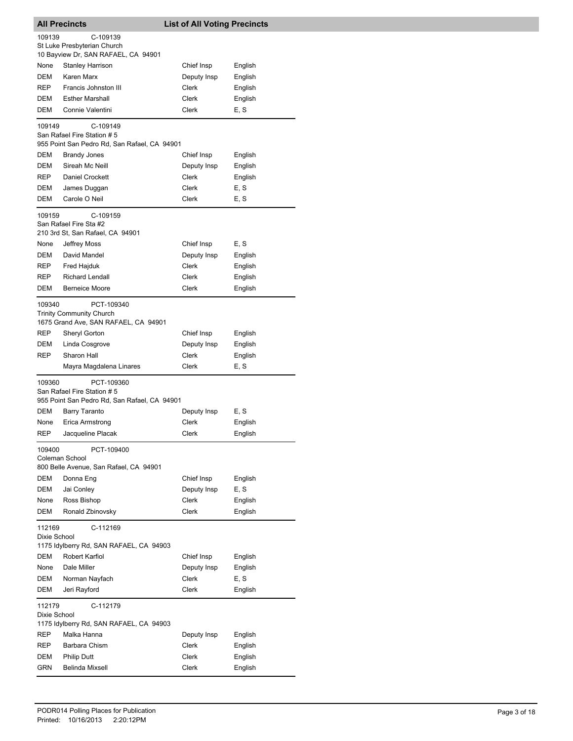| C-109139<br>109139<br>St Luke Presbyterian Church<br>10 Bayview Dr, SAN RAFAEL, CA 94901<br><b>Stanley Harrison</b><br>Chief Insp<br>None<br>English<br>DEM<br>Karen Marx<br>Deputy Insp<br>English<br><b>REP</b><br>Francis Johnston III<br>Clerk<br>English<br><b>Esther Marshall</b><br>Clerk<br>English<br>DEM<br>DEM<br>Connie Valentini<br>Clerk<br>E, S<br>109149<br>C-109149<br>San Rafael Fire Station #5<br>955 Point San Pedro Rd, San Rafael, CA 94901<br>DEM<br><b>Brandy Jones</b><br>Chief Insp<br>English<br>Sireah Mc Neill<br>DEM<br>Deputy Insp<br>English<br><b>REP</b><br>Daniel Crockett<br>Clerk<br>English<br>Clerk<br>E, S<br>DEM<br>James Duggan<br>DEM<br>Carole O Neil<br>Clerk<br>E, S<br>109159<br>C-109159<br>San Rafael Fire Sta #2<br>210 3rd St, San Rafael, CA 94901<br>Chief Insp<br>E, S<br>None<br>Jeffrey Moss<br>DEM<br>David Mandel<br>Deputy Insp<br>English<br>Fred Hajduk<br>Clerk<br>REP<br>English<br><b>Richard Lendall</b><br>Clerk<br><b>REP</b><br>English<br>Clerk<br>DEM<br><b>Berneice Moore</b><br>English<br>109340<br>PCT-109340<br><b>Trinity Community Church</b><br>1675 Grand Ave, SAN RAFAEL, CA 94901<br>REP<br>Sheryl Gorton<br>Chief Insp<br>English<br>DEM<br>Linda Cosgrove<br>Deputy Insp<br>English<br>REP<br>Sharon Hall<br>Clerk<br>English<br>E, S<br>Mayra Magdalena Linares<br>Clerk<br>109360<br>PCT-109360<br>San Rafael Fire Station #5<br>955 Point San Pedro Rd, San Rafael, CA 94901<br>DEM<br>E, S<br>Barry Taranto<br>Deputy Insp<br>Erica Armstrong<br>Clerk<br>English<br>None<br>REP<br>Jacqueline Placak<br>Clerk<br>English<br>109400<br>PCT-109400<br>Coleman School<br>800 Belle Avenue, San Rafael, CA 94901<br>DEM<br>Chief Insp<br>Donna Eng<br>English<br>E, S<br>DEM<br>Deputy Insp<br>Jai Conley<br>Ross Bishop<br>Clerk<br>English<br>None<br>DEM<br>Ronald Zbinovsky<br>Clerk<br>English<br>112169<br>C-112169<br>Dixie School<br>1175 Idylberry Rd, SAN RAFAEL, CA 94903<br>DEM<br>Robert Karfiol<br>Chief Insp<br>English<br>Dale Miller<br>Deputy Insp<br>English<br>None<br>E, S<br>DEM<br>Norman Nayfach<br>Clerk<br>DEM<br>Jeri Rayford<br>Clerk<br>English<br>112179<br>C-112179<br>Dixie School<br>1175 Idylberry Rd, SAN RAFAEL, CA 94903<br>REP<br>Malka Hanna<br>Deputy Insp<br>English<br>REP<br>Barbara Chism<br>Clerk<br>English<br>DEM<br><b>Philip Dutt</b><br>Clerk<br>English<br>GRN<br>Belinda Mixsell<br>Clerk<br>English | <b>All Precincts</b> |  | <b>List of All Voting Precincts</b> |  |  |
|-----------------------------------------------------------------------------------------------------------------------------------------------------------------------------------------------------------------------------------------------------------------------------------------------------------------------------------------------------------------------------------------------------------------------------------------------------------------------------------------------------------------------------------------------------------------------------------------------------------------------------------------------------------------------------------------------------------------------------------------------------------------------------------------------------------------------------------------------------------------------------------------------------------------------------------------------------------------------------------------------------------------------------------------------------------------------------------------------------------------------------------------------------------------------------------------------------------------------------------------------------------------------------------------------------------------------------------------------------------------------------------------------------------------------------------------------------------------------------------------------------------------------------------------------------------------------------------------------------------------------------------------------------------------------------------------------------------------------------------------------------------------------------------------------------------------------------------------------------------------------------------------------------------------------------------------------------------------------------------------------------------------------------------------------------------------------------------------------------------------------------------------------------------------------------------------------------------------------------------------------------------------------------------------------------------------------------------------------------------------------------------------------------------------------------------------------|----------------------|--|-------------------------------------|--|--|
|                                                                                                                                                                                                                                                                                                                                                                                                                                                                                                                                                                                                                                                                                                                                                                                                                                                                                                                                                                                                                                                                                                                                                                                                                                                                                                                                                                                                                                                                                                                                                                                                                                                                                                                                                                                                                                                                                                                                                                                                                                                                                                                                                                                                                                                                                                                                                                                                                                               |                      |  |                                     |  |  |
|                                                                                                                                                                                                                                                                                                                                                                                                                                                                                                                                                                                                                                                                                                                                                                                                                                                                                                                                                                                                                                                                                                                                                                                                                                                                                                                                                                                                                                                                                                                                                                                                                                                                                                                                                                                                                                                                                                                                                                                                                                                                                                                                                                                                                                                                                                                                                                                                                                               |                      |  |                                     |  |  |
|                                                                                                                                                                                                                                                                                                                                                                                                                                                                                                                                                                                                                                                                                                                                                                                                                                                                                                                                                                                                                                                                                                                                                                                                                                                                                                                                                                                                                                                                                                                                                                                                                                                                                                                                                                                                                                                                                                                                                                                                                                                                                                                                                                                                                                                                                                                                                                                                                                               |                      |  |                                     |  |  |
|                                                                                                                                                                                                                                                                                                                                                                                                                                                                                                                                                                                                                                                                                                                                                                                                                                                                                                                                                                                                                                                                                                                                                                                                                                                                                                                                                                                                                                                                                                                                                                                                                                                                                                                                                                                                                                                                                                                                                                                                                                                                                                                                                                                                                                                                                                                                                                                                                                               |                      |  |                                     |  |  |
|                                                                                                                                                                                                                                                                                                                                                                                                                                                                                                                                                                                                                                                                                                                                                                                                                                                                                                                                                                                                                                                                                                                                                                                                                                                                                                                                                                                                                                                                                                                                                                                                                                                                                                                                                                                                                                                                                                                                                                                                                                                                                                                                                                                                                                                                                                                                                                                                                                               |                      |  |                                     |  |  |
|                                                                                                                                                                                                                                                                                                                                                                                                                                                                                                                                                                                                                                                                                                                                                                                                                                                                                                                                                                                                                                                                                                                                                                                                                                                                                                                                                                                                                                                                                                                                                                                                                                                                                                                                                                                                                                                                                                                                                                                                                                                                                                                                                                                                                                                                                                                                                                                                                                               |                      |  |                                     |  |  |
|                                                                                                                                                                                                                                                                                                                                                                                                                                                                                                                                                                                                                                                                                                                                                                                                                                                                                                                                                                                                                                                                                                                                                                                                                                                                                                                                                                                                                                                                                                                                                                                                                                                                                                                                                                                                                                                                                                                                                                                                                                                                                                                                                                                                                                                                                                                                                                                                                                               |                      |  |                                     |  |  |
|                                                                                                                                                                                                                                                                                                                                                                                                                                                                                                                                                                                                                                                                                                                                                                                                                                                                                                                                                                                                                                                                                                                                                                                                                                                                                                                                                                                                                                                                                                                                                                                                                                                                                                                                                                                                                                                                                                                                                                                                                                                                                                                                                                                                                                                                                                                                                                                                                                               |                      |  |                                     |  |  |
|                                                                                                                                                                                                                                                                                                                                                                                                                                                                                                                                                                                                                                                                                                                                                                                                                                                                                                                                                                                                                                                                                                                                                                                                                                                                                                                                                                                                                                                                                                                                                                                                                                                                                                                                                                                                                                                                                                                                                                                                                                                                                                                                                                                                                                                                                                                                                                                                                                               |                      |  |                                     |  |  |
|                                                                                                                                                                                                                                                                                                                                                                                                                                                                                                                                                                                                                                                                                                                                                                                                                                                                                                                                                                                                                                                                                                                                                                                                                                                                                                                                                                                                                                                                                                                                                                                                                                                                                                                                                                                                                                                                                                                                                                                                                                                                                                                                                                                                                                                                                                                                                                                                                                               |                      |  |                                     |  |  |
|                                                                                                                                                                                                                                                                                                                                                                                                                                                                                                                                                                                                                                                                                                                                                                                                                                                                                                                                                                                                                                                                                                                                                                                                                                                                                                                                                                                                                                                                                                                                                                                                                                                                                                                                                                                                                                                                                                                                                                                                                                                                                                                                                                                                                                                                                                                                                                                                                                               |                      |  |                                     |  |  |
|                                                                                                                                                                                                                                                                                                                                                                                                                                                                                                                                                                                                                                                                                                                                                                                                                                                                                                                                                                                                                                                                                                                                                                                                                                                                                                                                                                                                                                                                                                                                                                                                                                                                                                                                                                                                                                                                                                                                                                                                                                                                                                                                                                                                                                                                                                                                                                                                                                               |                      |  |                                     |  |  |
|                                                                                                                                                                                                                                                                                                                                                                                                                                                                                                                                                                                                                                                                                                                                                                                                                                                                                                                                                                                                                                                                                                                                                                                                                                                                                                                                                                                                                                                                                                                                                                                                                                                                                                                                                                                                                                                                                                                                                                                                                                                                                                                                                                                                                                                                                                                                                                                                                                               |                      |  |                                     |  |  |
|                                                                                                                                                                                                                                                                                                                                                                                                                                                                                                                                                                                                                                                                                                                                                                                                                                                                                                                                                                                                                                                                                                                                                                                                                                                                                                                                                                                                                                                                                                                                                                                                                                                                                                                                                                                                                                                                                                                                                                                                                                                                                                                                                                                                                                                                                                                                                                                                                                               |                      |  |                                     |  |  |
|                                                                                                                                                                                                                                                                                                                                                                                                                                                                                                                                                                                                                                                                                                                                                                                                                                                                                                                                                                                                                                                                                                                                                                                                                                                                                                                                                                                                                                                                                                                                                                                                                                                                                                                                                                                                                                                                                                                                                                                                                                                                                                                                                                                                                                                                                                                                                                                                                                               |                      |  |                                     |  |  |
|                                                                                                                                                                                                                                                                                                                                                                                                                                                                                                                                                                                                                                                                                                                                                                                                                                                                                                                                                                                                                                                                                                                                                                                                                                                                                                                                                                                                                                                                                                                                                                                                                                                                                                                                                                                                                                                                                                                                                                                                                                                                                                                                                                                                                                                                                                                                                                                                                                               |                      |  |                                     |  |  |
|                                                                                                                                                                                                                                                                                                                                                                                                                                                                                                                                                                                                                                                                                                                                                                                                                                                                                                                                                                                                                                                                                                                                                                                                                                                                                                                                                                                                                                                                                                                                                                                                                                                                                                                                                                                                                                                                                                                                                                                                                                                                                                                                                                                                                                                                                                                                                                                                                                               |                      |  |                                     |  |  |
|                                                                                                                                                                                                                                                                                                                                                                                                                                                                                                                                                                                                                                                                                                                                                                                                                                                                                                                                                                                                                                                                                                                                                                                                                                                                                                                                                                                                                                                                                                                                                                                                                                                                                                                                                                                                                                                                                                                                                                                                                                                                                                                                                                                                                                                                                                                                                                                                                                               |                      |  |                                     |  |  |
|                                                                                                                                                                                                                                                                                                                                                                                                                                                                                                                                                                                                                                                                                                                                                                                                                                                                                                                                                                                                                                                                                                                                                                                                                                                                                                                                                                                                                                                                                                                                                                                                                                                                                                                                                                                                                                                                                                                                                                                                                                                                                                                                                                                                                                                                                                                                                                                                                                               |                      |  |                                     |  |  |
|                                                                                                                                                                                                                                                                                                                                                                                                                                                                                                                                                                                                                                                                                                                                                                                                                                                                                                                                                                                                                                                                                                                                                                                                                                                                                                                                                                                                                                                                                                                                                                                                                                                                                                                                                                                                                                                                                                                                                                                                                                                                                                                                                                                                                                                                                                                                                                                                                                               |                      |  |                                     |  |  |
|                                                                                                                                                                                                                                                                                                                                                                                                                                                                                                                                                                                                                                                                                                                                                                                                                                                                                                                                                                                                                                                                                                                                                                                                                                                                                                                                                                                                                                                                                                                                                                                                                                                                                                                                                                                                                                                                                                                                                                                                                                                                                                                                                                                                                                                                                                                                                                                                                                               |                      |  |                                     |  |  |
|                                                                                                                                                                                                                                                                                                                                                                                                                                                                                                                                                                                                                                                                                                                                                                                                                                                                                                                                                                                                                                                                                                                                                                                                                                                                                                                                                                                                                                                                                                                                                                                                                                                                                                                                                                                                                                                                                                                                                                                                                                                                                                                                                                                                                                                                                                                                                                                                                                               |                      |  |                                     |  |  |
|                                                                                                                                                                                                                                                                                                                                                                                                                                                                                                                                                                                                                                                                                                                                                                                                                                                                                                                                                                                                                                                                                                                                                                                                                                                                                                                                                                                                                                                                                                                                                                                                                                                                                                                                                                                                                                                                                                                                                                                                                                                                                                                                                                                                                                                                                                                                                                                                                                               |                      |  |                                     |  |  |
|                                                                                                                                                                                                                                                                                                                                                                                                                                                                                                                                                                                                                                                                                                                                                                                                                                                                                                                                                                                                                                                                                                                                                                                                                                                                                                                                                                                                                                                                                                                                                                                                                                                                                                                                                                                                                                                                                                                                                                                                                                                                                                                                                                                                                                                                                                                                                                                                                                               |                      |  |                                     |  |  |
|                                                                                                                                                                                                                                                                                                                                                                                                                                                                                                                                                                                                                                                                                                                                                                                                                                                                                                                                                                                                                                                                                                                                                                                                                                                                                                                                                                                                                                                                                                                                                                                                                                                                                                                                                                                                                                                                                                                                                                                                                                                                                                                                                                                                                                                                                                                                                                                                                                               |                      |  |                                     |  |  |
|                                                                                                                                                                                                                                                                                                                                                                                                                                                                                                                                                                                                                                                                                                                                                                                                                                                                                                                                                                                                                                                                                                                                                                                                                                                                                                                                                                                                                                                                                                                                                                                                                                                                                                                                                                                                                                                                                                                                                                                                                                                                                                                                                                                                                                                                                                                                                                                                                                               |                      |  |                                     |  |  |
|                                                                                                                                                                                                                                                                                                                                                                                                                                                                                                                                                                                                                                                                                                                                                                                                                                                                                                                                                                                                                                                                                                                                                                                                                                                                                                                                                                                                                                                                                                                                                                                                                                                                                                                                                                                                                                                                                                                                                                                                                                                                                                                                                                                                                                                                                                                                                                                                                                               |                      |  |                                     |  |  |
|                                                                                                                                                                                                                                                                                                                                                                                                                                                                                                                                                                                                                                                                                                                                                                                                                                                                                                                                                                                                                                                                                                                                                                                                                                                                                                                                                                                                                                                                                                                                                                                                                                                                                                                                                                                                                                                                                                                                                                                                                                                                                                                                                                                                                                                                                                                                                                                                                                               |                      |  |                                     |  |  |
|                                                                                                                                                                                                                                                                                                                                                                                                                                                                                                                                                                                                                                                                                                                                                                                                                                                                                                                                                                                                                                                                                                                                                                                                                                                                                                                                                                                                                                                                                                                                                                                                                                                                                                                                                                                                                                                                                                                                                                                                                                                                                                                                                                                                                                                                                                                                                                                                                                               |                      |  |                                     |  |  |
|                                                                                                                                                                                                                                                                                                                                                                                                                                                                                                                                                                                                                                                                                                                                                                                                                                                                                                                                                                                                                                                                                                                                                                                                                                                                                                                                                                                                                                                                                                                                                                                                                                                                                                                                                                                                                                                                                                                                                                                                                                                                                                                                                                                                                                                                                                                                                                                                                                               |                      |  |                                     |  |  |
|                                                                                                                                                                                                                                                                                                                                                                                                                                                                                                                                                                                                                                                                                                                                                                                                                                                                                                                                                                                                                                                                                                                                                                                                                                                                                                                                                                                                                                                                                                                                                                                                                                                                                                                                                                                                                                                                                                                                                                                                                                                                                                                                                                                                                                                                                                                                                                                                                                               |                      |  |                                     |  |  |
|                                                                                                                                                                                                                                                                                                                                                                                                                                                                                                                                                                                                                                                                                                                                                                                                                                                                                                                                                                                                                                                                                                                                                                                                                                                                                                                                                                                                                                                                                                                                                                                                                                                                                                                                                                                                                                                                                                                                                                                                                                                                                                                                                                                                                                                                                                                                                                                                                                               |                      |  |                                     |  |  |
|                                                                                                                                                                                                                                                                                                                                                                                                                                                                                                                                                                                                                                                                                                                                                                                                                                                                                                                                                                                                                                                                                                                                                                                                                                                                                                                                                                                                                                                                                                                                                                                                                                                                                                                                                                                                                                                                                                                                                                                                                                                                                                                                                                                                                                                                                                                                                                                                                                               |                      |  |                                     |  |  |
|                                                                                                                                                                                                                                                                                                                                                                                                                                                                                                                                                                                                                                                                                                                                                                                                                                                                                                                                                                                                                                                                                                                                                                                                                                                                                                                                                                                                                                                                                                                                                                                                                                                                                                                                                                                                                                                                                                                                                                                                                                                                                                                                                                                                                                                                                                                                                                                                                                               |                      |  |                                     |  |  |
|                                                                                                                                                                                                                                                                                                                                                                                                                                                                                                                                                                                                                                                                                                                                                                                                                                                                                                                                                                                                                                                                                                                                                                                                                                                                                                                                                                                                                                                                                                                                                                                                                                                                                                                                                                                                                                                                                                                                                                                                                                                                                                                                                                                                                                                                                                                                                                                                                                               |                      |  |                                     |  |  |
|                                                                                                                                                                                                                                                                                                                                                                                                                                                                                                                                                                                                                                                                                                                                                                                                                                                                                                                                                                                                                                                                                                                                                                                                                                                                                                                                                                                                                                                                                                                                                                                                                                                                                                                                                                                                                                                                                                                                                                                                                                                                                                                                                                                                                                                                                                                                                                                                                                               |                      |  |                                     |  |  |
|                                                                                                                                                                                                                                                                                                                                                                                                                                                                                                                                                                                                                                                                                                                                                                                                                                                                                                                                                                                                                                                                                                                                                                                                                                                                                                                                                                                                                                                                                                                                                                                                                                                                                                                                                                                                                                                                                                                                                                                                                                                                                                                                                                                                                                                                                                                                                                                                                                               |                      |  |                                     |  |  |
|                                                                                                                                                                                                                                                                                                                                                                                                                                                                                                                                                                                                                                                                                                                                                                                                                                                                                                                                                                                                                                                                                                                                                                                                                                                                                                                                                                                                                                                                                                                                                                                                                                                                                                                                                                                                                                                                                                                                                                                                                                                                                                                                                                                                                                                                                                                                                                                                                                               |                      |  |                                     |  |  |
|                                                                                                                                                                                                                                                                                                                                                                                                                                                                                                                                                                                                                                                                                                                                                                                                                                                                                                                                                                                                                                                                                                                                                                                                                                                                                                                                                                                                                                                                                                                                                                                                                                                                                                                                                                                                                                                                                                                                                                                                                                                                                                                                                                                                                                                                                                                                                                                                                                               |                      |  |                                     |  |  |
|                                                                                                                                                                                                                                                                                                                                                                                                                                                                                                                                                                                                                                                                                                                                                                                                                                                                                                                                                                                                                                                                                                                                                                                                                                                                                                                                                                                                                                                                                                                                                                                                                                                                                                                                                                                                                                                                                                                                                                                                                                                                                                                                                                                                                                                                                                                                                                                                                                               |                      |  |                                     |  |  |
|                                                                                                                                                                                                                                                                                                                                                                                                                                                                                                                                                                                                                                                                                                                                                                                                                                                                                                                                                                                                                                                                                                                                                                                                                                                                                                                                                                                                                                                                                                                                                                                                                                                                                                                                                                                                                                                                                                                                                                                                                                                                                                                                                                                                                                                                                                                                                                                                                                               |                      |  |                                     |  |  |
|                                                                                                                                                                                                                                                                                                                                                                                                                                                                                                                                                                                                                                                                                                                                                                                                                                                                                                                                                                                                                                                                                                                                                                                                                                                                                                                                                                                                                                                                                                                                                                                                                                                                                                                                                                                                                                                                                                                                                                                                                                                                                                                                                                                                                                                                                                                                                                                                                                               |                      |  |                                     |  |  |
|                                                                                                                                                                                                                                                                                                                                                                                                                                                                                                                                                                                                                                                                                                                                                                                                                                                                                                                                                                                                                                                                                                                                                                                                                                                                                                                                                                                                                                                                                                                                                                                                                                                                                                                                                                                                                                                                                                                                                                                                                                                                                                                                                                                                                                                                                                                                                                                                                                               |                      |  |                                     |  |  |
|                                                                                                                                                                                                                                                                                                                                                                                                                                                                                                                                                                                                                                                                                                                                                                                                                                                                                                                                                                                                                                                                                                                                                                                                                                                                                                                                                                                                                                                                                                                                                                                                                                                                                                                                                                                                                                                                                                                                                                                                                                                                                                                                                                                                                                                                                                                                                                                                                                               |                      |  |                                     |  |  |
|                                                                                                                                                                                                                                                                                                                                                                                                                                                                                                                                                                                                                                                                                                                                                                                                                                                                                                                                                                                                                                                                                                                                                                                                                                                                                                                                                                                                                                                                                                                                                                                                                                                                                                                                                                                                                                                                                                                                                                                                                                                                                                                                                                                                                                                                                                                                                                                                                                               |                      |  |                                     |  |  |
|                                                                                                                                                                                                                                                                                                                                                                                                                                                                                                                                                                                                                                                                                                                                                                                                                                                                                                                                                                                                                                                                                                                                                                                                                                                                                                                                                                                                                                                                                                                                                                                                                                                                                                                                                                                                                                                                                                                                                                                                                                                                                                                                                                                                                                                                                                                                                                                                                                               |                      |  |                                     |  |  |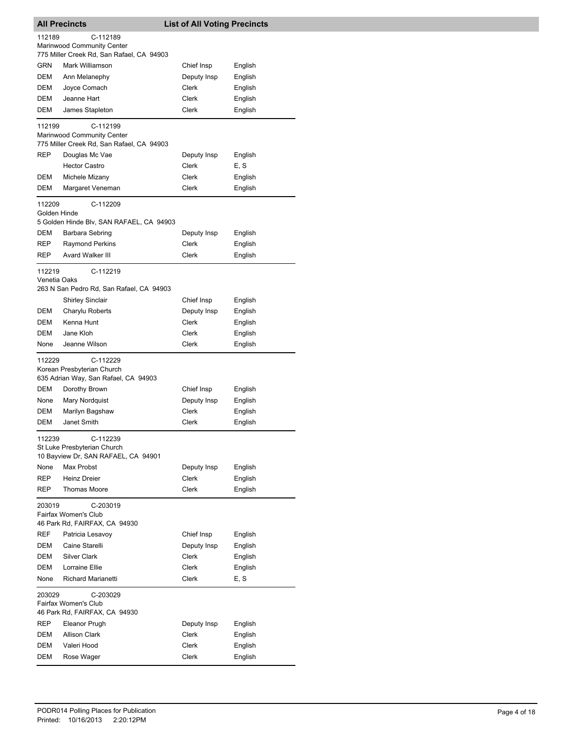|                        | <b>All Precincts</b>                                                                | <b>List of All Voting Precincts</b> |         |
|------------------------|-------------------------------------------------------------------------------------|-------------------------------------|---------|
| 112189                 | C-112189<br>Marinwood Community Center                                              |                                     |         |
|                        | 775 Miller Creek Rd, San Rafael, CA 94903                                           |                                     |         |
| GRN                    | Mark Williamson                                                                     | Chief Insp                          | English |
| DEM                    | Ann Melanephy                                                                       | Deputy Insp                         | English |
| DEM                    | Joyce Comach                                                                        | Clerk                               | English |
| DEM                    | Jeanne Hart                                                                         | Clerk                               | English |
| DEM                    | James Stapleton                                                                     | Clerk                               | English |
| 112199                 | C-112199<br>Marinwood Community Center<br>775 Miller Creek Rd, San Rafael, CA 94903 |                                     |         |
| <b>REP</b>             | Douglas Mc Vae                                                                      | Deputy Insp                         | English |
|                        | <b>Hector Castro</b>                                                                | Clerk                               | E, S    |
| DEM                    | Michele Mizany                                                                      | Clerk                               | English |
| DEM                    | Margaret Veneman                                                                    | Clerk                               | English |
| 112209<br>Golden Hinde | C-112209<br>5 Golden Hinde Blv, SAN RAFAEL, CA 94903                                |                                     |         |
| DEM                    | Barbara Sebring                                                                     | Deputy Insp                         | English |
| REP                    | <b>Raymond Perkins</b>                                                              | Clerk                               | English |
| REP                    | <b>Avard Walker III</b>                                                             | Clerk                               | English |
| 112219<br>Venetia Oaks | C-112219<br>263 N San Pedro Rd, San Rafael, CA 94903                                |                                     |         |
|                        | Shirley Sinclair                                                                    | Chief Insp                          | English |
| DEM                    | Charylu Roberts                                                                     | Deputy Insp                         | English |
| DEM                    | Kenna Hunt                                                                          | Clerk                               | English |
| DEM                    | Jane Kloh                                                                           | Clerk                               | English |
| None                   | Jeanne Wilson                                                                       | Clerk                               | English |
| 112229                 | C-112229<br>Korean Presbyterian Church<br>635 Adrian Way, San Rafael, CA 94903      |                                     |         |
| DEM                    | Dorothy Brown                                                                       | Chief Insp                          | English |
| None                   | Mary Nordquist                                                                      | Deputy Insp                         | English |
| DEM                    | Marilyn Bagshaw                                                                     | Clerk                               | English |
| DEM                    | Janet Smith                                                                         | Clerk                               | English |
| 112239                 | C-112239                                                                            |                                     |         |
|                        | St Luke Presbyterian Church<br>10 Bayview Dr, SAN RAFAEL, CA 94901                  |                                     |         |
| None                   | Max Probst                                                                          | Deputy Insp                         | English |
| <b>REP</b>             | <b>Heinz Dreier</b>                                                                 | Clerk                               | English |
| REP                    | <b>Thomas Moore</b>                                                                 | Clerk                               | English |
| 203019                 | C-203019<br>Fairfax Women's Club<br>46 Park Rd, FAIRFAX, CA 94930                   |                                     |         |
| REF                    | Patricia Lesavoy                                                                    | Chief Insp                          | English |
| DEM                    | Caine Starelli                                                                      | Deputy Insp                         | English |
| DEM                    | <b>Silver Clark</b>                                                                 | Clerk                               | English |
| DEM                    | Lorraine Ellie                                                                      | Clerk                               | English |
| None                   | Richard Marianetti                                                                  | <b>Clerk</b>                        | E, S    |
| 203029                 | C-203029<br>Fairfax Women's Club<br>46 Park Rd, FAIRFAX, CA 94930                   |                                     |         |
| REP                    | Eleanor Prugh                                                                       | Deputy Insp                         | English |
| DEM                    | <b>Allison Clark</b>                                                                | Clerk                               | English |
| DEM                    | Valeri Hood                                                                         | Clerk                               | English |
| DEM                    | Rose Wager                                                                          | Clerk                               | English |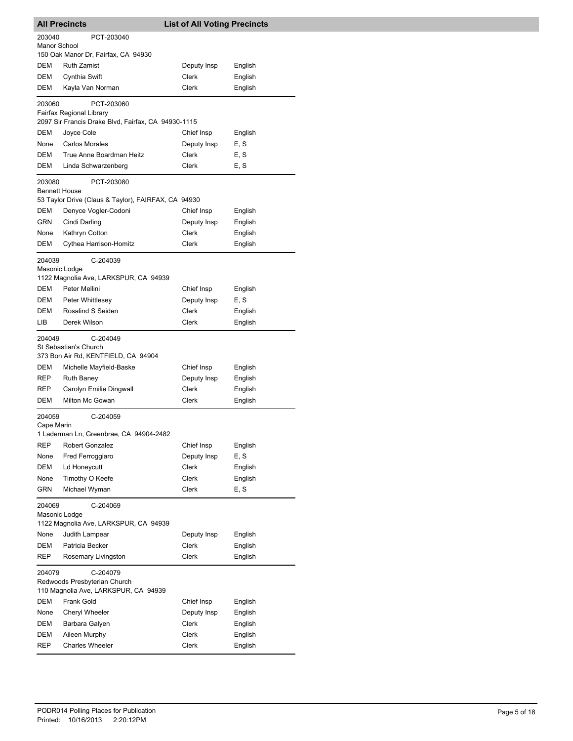|                         | <b>All Precincts</b>                                                             | <b>List of All Voting Precincts</b> |         |
|-------------------------|----------------------------------------------------------------------------------|-------------------------------------|---------|
| 203040                  | PCT-203040                                                                       |                                     |         |
| Manor School            | 150 Oak Manor Dr, Fairfax, CA 94930                                              |                                     |         |
| DEM                     | <b>Ruth Zamist</b>                                                               | Deputy Insp                         | English |
| DEM                     | <b>Cynthia Swift</b>                                                             | Clerk                               | English |
| DEM                     | Kayla Van Norman                                                                 | Clerk                               | English |
| 203060                  | PCT-203060<br>Fairfax Regional Library                                           |                                     |         |
|                         | 2097 Sir Francis Drake Blvd, Fairfax, CA 94930-1115                              |                                     |         |
| DEM                     | Joyce Cole                                                                       | Chief Insp                          | English |
| None                    | <b>Carlos Morales</b>                                                            | Deputy Insp                         | E, S    |
| DEM                     | True Anne Boardman Heitz                                                         | Clerk                               | E, S    |
| DEM                     | Linda Schwarzenberg                                                              | Clerk                               | E, S    |
| 203080<br>Bennett House | PCT-203080                                                                       |                                     |         |
| <b>DEM</b>              | 53 Taylor Drive (Claus & Taylor), FAIRFAX, CA 94930<br>Denyce Vogler-Codoni      |                                     |         |
|                         |                                                                                  | Chief Insp                          | English |
| GRN                     | Cindi Darling                                                                    | Deputy Insp                         | English |
| None                    | Kathryn Cotton                                                                   | Clerk                               | English |
| DEM                     | Cythea Harrison-Homitz                                                           | Clerk                               | English |
| 204039<br>Masonic Lodge | C-204039                                                                         |                                     |         |
|                         | 1122 Magnolia Ave, LARKSPUR, CA 94939                                            |                                     |         |
| DEM                     | Peter Mellini                                                                    | Chief Insp                          | English |
| DEM                     | Peter Whittlesey                                                                 | Deputy Insp                         | E, S    |
| DEM                     | Rosalind S Seiden                                                                | Clerk                               | English |
| LIB                     | Derek Wilson                                                                     | <b>Clerk</b>                        | English |
| 204049                  | C-204049<br>St Sebastian's Church<br>373 Bon Air Rd, KENTFIELD, CA 94904         |                                     |         |
| DEM                     | Michelle Mayfield-Baske                                                          | Chief Insp                          | English |
| REP                     | <b>Ruth Baney</b>                                                                | Deputy Insp                         | English |
| <b>REP</b>              | Carolyn Emilie Dingwall                                                          | Clerk                               | English |
| DEM                     | Milton Mc Gowan                                                                  | Clerk                               | English |
| 204059                  | C-204059                                                                         |                                     |         |
| Cape Marin              | 1 Laderman Ln, Greenbrae, CA 94904-2482                                          |                                     |         |
| <b>REP</b>              | <b>Robert Gonzalez</b>                                                           | Chief Insp                          | English |
| None                    | Fred Ferroggiaro                                                                 | Deputy Insp                         | E, S    |
| DEM                     | Ld Honeycutt                                                                     | Clerk                               | English |
| None                    | Timothy O Keefe                                                                  | Clerk                               | English |
| GRN                     | Michael Wyman                                                                    | Clerk                               | E, S    |
| 204069                  | C-204069                                                                         |                                     |         |
| Masonic Lodge           | 1122 Magnolia Ave, LARKSPUR, CA 94939                                            |                                     |         |
| None                    | Judith Lampear                                                                   | Deputy Insp                         | English |
| DEM                     | Patricia Becker                                                                  | Clerk                               | English |
| REP                     | Rosemary Livingston                                                              | Clerk                               | English |
| 204079                  | C-204079<br>Redwoods Presbyterian Church<br>110 Magnolia Ave, LARKSPUR, CA 94939 |                                     |         |
| DEM                     | Frank Gold                                                                       | Chief Insp                          | English |
| None                    | <b>Cheryl Wheeler</b>                                                            | Deputy Insp                         | English |
| DEM                     | Barbara Galyen                                                                   | Clerk                               | English |
| DEM                     | Aileen Murphy                                                                    | Clerk                               | English |
| REP                     | <b>Charles Wheeler</b>                                                           | Clerk                               | English |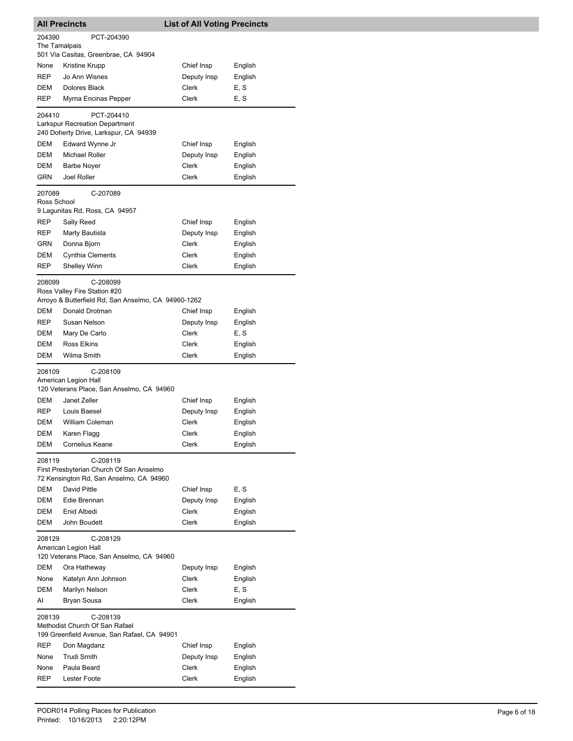|                       | <b>All Precincts</b>                                                                      | <b>List of All Voting Precincts</b> |                 |
|-----------------------|-------------------------------------------------------------------------------------------|-------------------------------------|-----------------|
| 204390                | PCT-204390                                                                                |                                     |                 |
| The Tamalpais         |                                                                                           |                                     |                 |
|                       | 501 Via Casitas, Greenbrae, CA 94904                                                      |                                     |                 |
| None                  | Kristine Krupp                                                                            | Chief Insp                          | English         |
| <b>REP</b>            | Jo Ann Wisnes                                                                             | Deputy Insp                         | English         |
| DEM                   | Dolores Black                                                                             | Clerk                               | E, S            |
| <b>REP</b>            | Myrna Encinas Pepper                                                                      | Clerk                               | E, S            |
| 204410                | PCT-204410                                                                                |                                     |                 |
|                       | Larkspur Recreation Department<br>240 Doherty Drive, Larkspur, CA 94939                   |                                     |                 |
| <b>DEM</b>            | Edward Wynne Jr                                                                           | Chief Insp                          | English         |
| DEM                   | Michael Roller                                                                            | Deputy Insp                         | English         |
| DEM                   | <b>Barbe Noyer</b>                                                                        | Clerk                               | English         |
| <b>GRN</b>            | Joel Roller                                                                               | Clerk                               | English         |
| 207089<br>Ross School | C-207089                                                                                  |                                     |                 |
|                       | 9 Lagunitas Rd, Ross, CA 94957                                                            |                                     |                 |
| REP                   | Sally Reed                                                                                | Chief Insp                          | English         |
| <b>REP</b>            | Marty Bautista                                                                            | Deputy Insp                         | English         |
| GRN                   | Donna Bjorn                                                                               | Clerk                               | English         |
| DEM                   | <b>Cynthia Clements</b>                                                                   | Clerk                               | English         |
| REP                   | <b>Shelley Winn</b>                                                                       | Clerk                               | English         |
| 208099                | C-208099                                                                                  |                                     |                 |
|                       | Ross Valley Fire Station #20                                                              |                                     |                 |
|                       | Arroyo & Butterfield Rd, San Anselmo, CA 94960-1262                                       |                                     |                 |
| DEM                   | Donald Drotman                                                                            | Chief Insp                          | English         |
| REP                   | Susan Nelson                                                                              | Deputy Insp                         | English         |
| DEM                   | Mary De Carlo                                                                             | Clerk                               | E, S            |
| DEM                   | <b>Ross Elkins</b>                                                                        | Clerk                               | English         |
| DEM                   | Wilma Smith                                                                               | Clerk                               | English         |
| 208109                | C-208109<br>American Legion Hall                                                          |                                     |                 |
|                       | 120 Veterans Place, San Anselmo, CA 94960                                                 |                                     |                 |
| DEM                   | Janet Zeller                                                                              | Chief Insp                          | English         |
| REP                   | Louis Baesel                                                                              | Deputy Insp                         | English         |
| <b>DEM</b>            | William Coleman                                                                           | Clerk                               | English         |
| DEM                   | Karen Flagg                                                                               | Clerk                               | English         |
| DEM                   | Cornelius Keane                                                                           | Clerk                               | English         |
| 208119                | C-208119<br>First Presbyterian Church Of San Anselmo                                      |                                     |                 |
| DEM                   | 72 Kensington Rd, San Anselmo, CA 94960<br>David Pittle                                   | Chief Insp                          |                 |
| DEM                   |                                                                                           |                                     | E, S            |
|                       | Edie Brennan                                                                              | Deputy Insp                         | English         |
| DEM                   | Enid Albedi                                                                               | Clerk                               | English         |
| DEM                   | John Boudett                                                                              | Clerk                               | English         |
| 208129                | C-208129<br>American Legion Hall<br>120 Veterans Place, San Anselmo, CA 94960             |                                     |                 |
| DEM                   | Ora Hatheway                                                                              | Deputy Insp                         | English         |
| None                  |                                                                                           | Clerk                               |                 |
| <b>DEM</b>            | Katelyn Ann Johnson                                                                       | Clerk                               | English         |
| AI                    | Marilyn Nelson<br>Bryan Sousa                                                             | Clerk                               | E, S<br>English |
|                       |                                                                                           |                                     |                 |
| 208139                | C-208139<br>Methodist Church Of San Rafael<br>199 Greenfield Avenue, San Rafael, CA 94901 |                                     |                 |
| REP                   | Don Magdanz                                                                               | Chief Insp                          | English         |
| None                  | <b>Trudi Smith</b>                                                                        | Deputy Insp                         | English         |
| None                  | Paula Beard                                                                               | Clerk                               | English         |
| REP                   | <b>Lester Foote</b>                                                                       | Clerk                               | English         |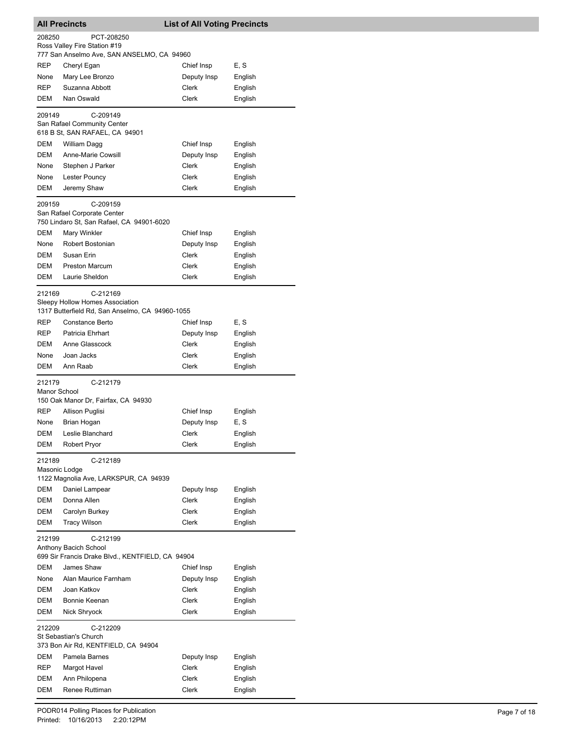|                    | <b>All Precincts</b>                                          | <b>List of All Voting Precincts</b> |         |
|--------------------|---------------------------------------------------------------|-------------------------------------|---------|
| 208250             | PCT-208250                                                    |                                     |         |
|                    | Ross Valley Fire Station #19                                  |                                     |         |
|                    | 777 San Anselmo Ave, SAN ANSELMO, CA 94960                    |                                     |         |
| <b>REP</b>         | Cheryl Egan                                                   | Chief Insp                          | E, S    |
| None<br><b>REP</b> | Mary Lee Bronzo                                               | Deputy Insp                         | English |
| DEM                | Suzanna Abbott<br>Nan Oswald                                  | Clerk<br>Clerk                      | English |
|                    |                                                               |                                     | English |
| 209149             | C-209149                                                      |                                     |         |
|                    | San Rafael Community Center<br>618 B St, SAN RAFAEL, CA 94901 |                                     |         |
| <b>DEM</b>         | William Dagg                                                  | Chief Insp                          | English |
| DEM                | Anne-Marie Cowsill                                            | Deputy Insp                         | English |
| None               | Stephen J Parker                                              | Clerk                               | English |
| None               | Lester Pouncy                                                 | Clerk                               | English |
| DEM                | Jeremy Shaw                                                   | Clerk                               | English |
|                    |                                                               |                                     |         |
| 209159             | C-209159<br>San Rafael Corporate Center                       |                                     |         |
|                    | 750 Lindaro St, San Rafael, CA 94901-6020                     |                                     |         |
| DEM                | Mary Winkler                                                  | Chief Insp                          | English |
| None               | Robert Bostonian                                              | Deputy Insp                         | English |
| DEM                | Susan Erin                                                    | Clerk                               | English |
| DEM                | <b>Preston Marcum</b>                                         | Clerk                               | English |
| DEM                | Laurie Sheldon                                                | Clerk                               | English |
|                    |                                                               |                                     |         |
| 212169             | C-212169<br>Sleepy Hollow Homes Association                   |                                     |         |
|                    | 1317 Butterfield Rd, San Anselmo, CA 94960-1055               |                                     |         |
| <b>REP</b>         | Constance Berto                                               | Chief Insp                          | E, S    |
| <b>REP</b>         | Patricia Ehrhart                                              | Deputy Insp                         | English |
| DEM                | Anne Glasscock                                                | Clerk                               | English |
| None               | Joan Jacks                                                    | Clerk                               | English |
| DEM                | Ann Raab                                                      | Clerk                               | English |
| 212179             | C-212179                                                      |                                     |         |
| Manor School       |                                                               |                                     |         |
|                    | 150 Oak Manor Dr, Fairfax, CA 94930                           |                                     |         |
| <b>REP</b>         | Allison Puglisi                                               | Chief Insp                          | English |
| None               | Brian Hogan                                                   | Deputy Insp                         | E, S    |
| DEM                | Leslie Blanchard                                              | Clerk                               | English |
| DEM                | Robert Pryor                                                  | Clerk                               | English |
| 212189             | C-212189                                                      |                                     |         |
|                    | Masonic Lodge                                                 |                                     |         |
|                    | 1122 Magnolia Ave, LARKSPUR, CA 94939                         |                                     |         |
| DEM                | Daniel Lampear                                                | Deputy Insp                         | English |
| DEM                | Donna Allen                                                   | Clerk                               | English |
| DEM                | Carolyn Burkey                                                | Clerk                               | English |
| DEM                | <b>Tracy Wilson</b>                                           | Clerk                               | English |
| 212199             | C-212199                                                      |                                     |         |
|                    | Anthony Bacich School                                         |                                     |         |
|                    | 699 Sir Francis Drake Blvd., KENTFIELD, CA 94904              |                                     |         |
| DEM                | James Shaw                                                    | Chief Insp                          | English |
| None               | Alan Maurice Farnham                                          | Deputy Insp                         | English |
| DEM                | Joan Katkov                                                   | Clerk                               | English |
| DEM                | Bonnie Keenan                                                 | Clerk                               | English |
| DEM                | Nick Shryock                                                  | Clerk                               | English |
| 212209             | C-212209                                                      |                                     |         |
|                    | St Sebastian's Church                                         |                                     |         |
|                    | 373 Bon Air Rd, KENTFIELD, CA 94904                           |                                     |         |
| DEM                | Pamela Barnes                                                 | Deputy Insp                         | English |
| REP                | Margot Havel                                                  | Clerk                               | English |
| DEM                | Ann Philopena                                                 | Clerk                               | English |
| DEM                | Renee Ruttiman                                                | Clerk                               | English |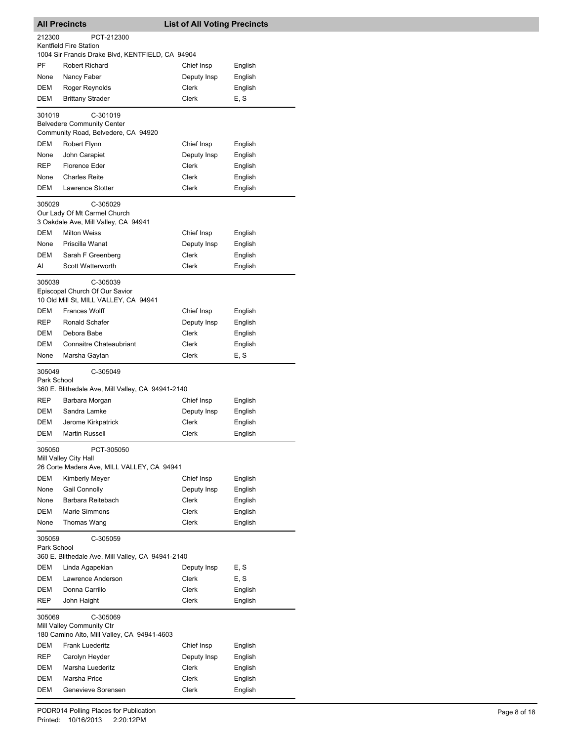|                       | <b>All Precincts</b>                                                       | <b>List of All Voting Precincts</b> |                    |
|-----------------------|----------------------------------------------------------------------------|-------------------------------------|--------------------|
| 212300                | PCT-212300                                                                 |                                     |                    |
|                       | Kentfield Fire Station<br>1004 Sir Francis Drake Blvd, KENTFIELD, CA 94904 |                                     |                    |
| PF                    | Robert Richard                                                             | Chief Insp                          | English            |
| None                  | Nancy Faber                                                                | Deputy Insp                         | English            |
| DEM                   | Roger Reynolds                                                             | Clerk                               | English            |
| DEM                   | <b>Brittany Strader</b>                                                    | Clerk                               | E, S               |
| 301019                | C-301019                                                                   |                                     |                    |
|                       | <b>Belvedere Community Center</b>                                          |                                     |                    |
|                       | Community Road, Belvedere, CA 94920                                        |                                     |                    |
| <b>DEM</b>            | Robert Flynn                                                               | Chief Insp                          | English            |
| None                  | John Carapiet                                                              | Deputy Insp                         | English            |
| <b>REP</b>            | Florence Eder                                                              | Clerk                               | English            |
| None                  | <b>Charles Reite</b>                                                       | Clerk                               | English            |
| DEM                   | Lawrence Stotter                                                           | Clerk                               | English            |
| 305029                | C-305029                                                                   |                                     |                    |
|                       | Our Lady Of Mt Carmel Church                                               |                                     |                    |
|                       | 3 Oakdale Ave, Mill Valley, CA 94941                                       |                                     |                    |
| <b>DEM</b>            | <b>Milton Weiss</b><br>Priscilla Wanat                                     | Chief Insp                          | English            |
| None<br><b>DEM</b>    |                                                                            | Deputy Insp<br><b>Clerk</b>         | English            |
| AI                    | Sarah F Greenberg<br>Scott Watterworth                                     | Clerk                               | English<br>English |
|                       |                                                                            |                                     |                    |
| 305039                | C-305039                                                                   |                                     |                    |
|                       | Episcopal Church Of Our Savior<br>10 Old Mill St, MILL VALLEY, CA 94941    |                                     |                    |
| <b>DEM</b>            | <b>Frances Wolff</b>                                                       | Chief Insp                          | English            |
| <b>REP</b>            | Ronald Schafer                                                             | Deputy Insp                         | English            |
| DEM                   | Debora Babe                                                                | Clerk                               | English            |
| DEM                   | <b>Connaitre Chateaubriant</b>                                             | Clerk                               | English            |
| None                  | Marsha Gaytan                                                              | Clerk                               | E, S               |
| 305049                | C-305049                                                                   |                                     |                    |
| Park School           |                                                                            |                                     |                    |
|                       | 360 E. Blithedale Ave, Mill Valley, CA 94941-2140                          |                                     |                    |
| REP                   | Barbara Morgan                                                             | Chief Insp                          | English            |
| DEM                   | Sandra Lamke                                                               | Deputy Insp                         | English            |
| DEM                   | Jerome Kirkpatrick                                                         | Clerk                               | English            |
| DEM                   | <b>Martin Russell</b>                                                      | Clerk                               | English            |
| 305050                | PCT-305050                                                                 |                                     |                    |
|                       | Mill Valley City Hall<br>26 Corte Madera Ave, MILL VALLEY, CA 94941        |                                     |                    |
| DEM                   | Kimberly Meyer                                                             | Chief Insp                          |                    |
| None                  | Gail Connolly                                                              | Deputy Insp                         | English<br>English |
| None                  | Barbara Reitebach                                                          | Clerk                               | English            |
| DEM                   | Marie Simmons                                                              | Clerk                               | English            |
| None                  | Thomas Wang                                                                | Clerk                               | English            |
|                       |                                                                            |                                     |                    |
| 305059<br>Park School | C-305059                                                                   |                                     |                    |
|                       | 360 E. Blithedale Ave, Mill Valley, CA 94941-2140                          |                                     |                    |
| DEM                   | Linda Agapekian                                                            | Deputy Insp                         | E, S               |
| DEM                   | Lawrence Anderson                                                          | Clerk                               | E, S               |
| DEM                   | Donna Carrillo                                                             | Clerk                               | English            |
| REP                   | John Haight                                                                | Clerk                               | English            |
| 305069                | C-305069                                                                   |                                     |                    |
|                       | Mill Valley Community Ctr                                                  |                                     |                    |
| DEM                   | 180 Camino Alto, Mill Valley, CA 94941-4603                                |                                     |                    |
| <b>REP</b>            | Frank Luederitz<br>Carolyn Heyder                                          | Chief Insp<br>Deputy Insp           | English<br>English |
| DEM                   | Marsha Luederitz                                                           | Clerk                               | English            |
| DEM                   | Marsha Price                                                               | Clerk                               | English            |
| DEM                   | Genevieve Sorensen                                                         | Clerk                               | English            |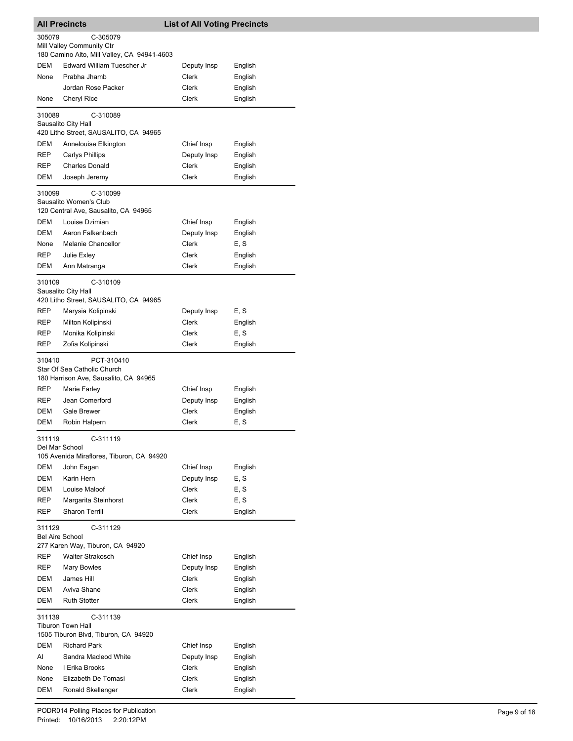| <b>All Precincts</b>             |                                                                                    | <b>List of All Voting Precincts</b> |         |
|----------------------------------|------------------------------------------------------------------------------------|-------------------------------------|---------|
| 305079                           | C-305079<br>Mill Valley Community Ctr                                              |                                     |         |
|                                  | 180 Camino Alto, Mill Valley, CA 94941-4603                                        |                                     |         |
| DEM                              | Edward William Tuescher Jr                                                         | Deputy Insp                         | English |
| None                             | Prabha Jhamb                                                                       | Clerk                               | English |
|                                  | Jordan Rose Packer                                                                 | Clerk                               | English |
| None                             | Cheryl Rice                                                                        | Clerk                               | English |
| 310089                           | C-310089<br>Sausalito City Hall<br>420 Litho Street, SAUSALITO, CA 94965           |                                     |         |
| DEM                              | Annelouise Elkington                                                               | Chief Insp                          | English |
| REP                              | <b>Carlys Phillips</b>                                                             | Deputy Insp                         | English |
| REP                              | <b>Charles Donald</b>                                                              | Clerk                               | English |
| DEM                              | Joseph Jeremy                                                                      | Clerk                               | English |
| 310099                           | C-310099<br>Sausalito Women's Club<br>120 Central Ave, Sausalito, CA 94965         |                                     |         |
| DEM                              | Louise Dzimian                                                                     | Chief Insp                          | English |
| DEM                              | Aaron Falkenbach                                                                   | Deputy Insp                         | English |
| None                             | Melanie Chancellor                                                                 | Clerk                               | E, S    |
| REP                              | Julie Exley                                                                        | Clerk                               | English |
| DEM                              | Ann Matranga                                                                       | Clerk                               | English |
| 310109                           | C-310109<br>Sausalito City Hall<br>420 Litho Street, SAUSALITO, CA 94965           |                                     |         |
| REP                              | Marysia Kolipinski                                                                 | Deputy Insp                         | E, S    |
| REP                              | Milton Kolipinski                                                                  | Clerk                               | English |
| REP                              | Monika Kolipinski                                                                  | Clerk                               | E, S    |
| REP                              | Zofia Kolipinski                                                                   | Clerk                               | English |
| 310410                           | PCT-310410<br>Star Of Sea Catholic Church<br>180 Harrison Ave, Sausalito, CA 94965 |                                     |         |
| REP                              | Marie Farley                                                                       | Chief Insp                          | English |
| <b>REP</b>                       | Jean Comerford                                                                     | Deputy Insp                         | English |
| DEM                              | Gale Brewer                                                                        | Clerk                               | English |
| DEM                              | Robin Halpern                                                                      | Clerk                               | E, S    |
| 311119<br>Del Mar School         | C-311119<br>105 Avenida Miraflores, Tiburon, CA 94920                              |                                     |         |
| DEM                              | John Eagan                                                                         | Chief Insp                          | English |
| DEM                              | Karin Hern                                                                         | Deputy Insp                         | E, S    |
| DEM                              | Louise Maloof                                                                      | Clerk                               | E, S    |
| REP                              | Margarita Steinhorst                                                               | <b>Clerk</b>                        | E, S    |
| REP                              | Sharon Terrill                                                                     | <b>Clerk</b>                        | English |
| 311129<br><b>Bel Aire School</b> | C-311129<br>277 Karen Way, Tiburon, CA 94920                                       |                                     |         |
| REP                              | <b>Walter Strakosch</b>                                                            | Chief Insp                          | English |
| REP                              | Mary Bowles                                                                        | Deputy Insp                         | English |
| DEM                              | James Hill                                                                         | Clerk                               | English |
| DEM                              | Aviva Shane                                                                        | Clerk                               | English |
| DEM                              | <b>Ruth Stotter</b>                                                                | Clerk                               | English |
| 311139                           | C-311139<br><b>Tiburon Town Hall</b><br>1505 Tiburon Blvd, Tiburon, CA 94920       |                                     |         |
| DEM                              | <b>Richard Park</b>                                                                | Chief Insp                          | English |
| Al                               | Sandra Macleod White                                                               | Deputy Insp                         | English |
| None                             | I Erika Brooks                                                                     | Clerk                               | English |
| None                             | Elizabeth De Tomasi                                                                | Clerk                               | English |
| DEM                              | Ronald Skellenger                                                                  | Clerk                               | English |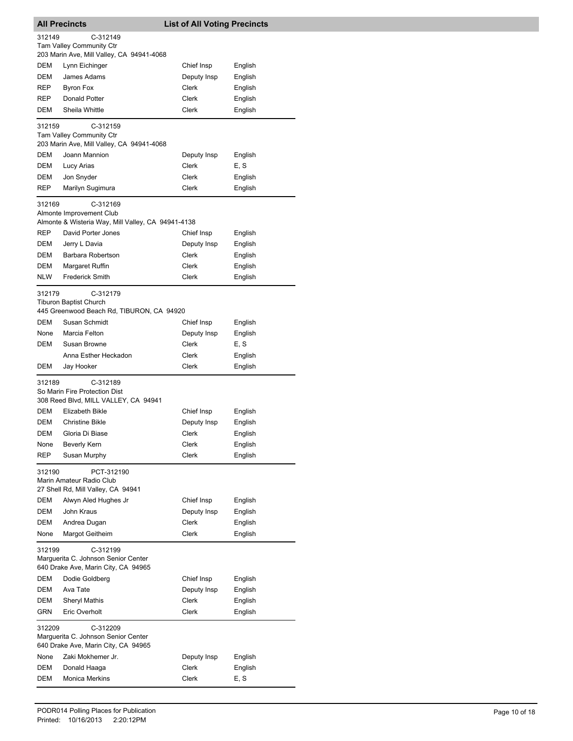|                   | <b>All Precincts</b>                                                                             | <b>List of All Voting Precincts</b> |                    |  |  |
|-------------------|--------------------------------------------------------------------------------------------------|-------------------------------------|--------------------|--|--|
| 312149            | C-312149                                                                                         |                                     |                    |  |  |
|                   | Tam Valley Community Ctr                                                                         |                                     |                    |  |  |
| <b>DEM</b>        | 203 Marin Ave, Mill Valley, CA 94941-4068                                                        | Chief Insp                          | English            |  |  |
| DEM               | Lynn Eichinger<br>James Adams                                                                    | Deputy Insp                         | English            |  |  |
| <b>REP</b>        | Byron Fox                                                                                        | Clerk                               | English            |  |  |
| <b>REP</b>        | Donald Potter                                                                                    | Clerk                               | English            |  |  |
| DEM               | Sheila Whittle                                                                                   | Clerk                               | English            |  |  |
|                   |                                                                                                  |                                     |                    |  |  |
| 312159            | C-312159<br>Tam Valley Community Ctr                                                             |                                     |                    |  |  |
|                   | 203 Marin Ave, Mill Valley, CA 94941-4068                                                        |                                     |                    |  |  |
| <b>DEM</b>        | Joann Mannion                                                                                    | Deputy Insp                         | English            |  |  |
| DEM               | Lucy Arias                                                                                       | Clerk                               | E, S               |  |  |
| DEM<br><b>REP</b> | Jon Snyder<br>Marilyn Sugimura                                                                   | Clerk<br>Clerk                      | English<br>English |  |  |
|                   |                                                                                                  |                                     |                    |  |  |
| 312169            | C-312169<br>Almonte Improvement Club<br>Almonte & Wisteria Way, Mill Valley, CA 94941-4138       |                                     |                    |  |  |
| <b>REP</b>        | David Porter Jones                                                                               | Chief Insp                          | English            |  |  |
| DEM               | Jerry L Davia                                                                                    | Deputy Insp                         | English            |  |  |
| DEM               | Barbara Robertson                                                                                | Clerk                               | English            |  |  |
| DEM               | Margaret Ruffin                                                                                  | Clerk                               | English            |  |  |
| <b>NLW</b>        | <b>Frederick Smith</b>                                                                           | Clerk                               | English            |  |  |
|                   | C-312179                                                                                         |                                     |                    |  |  |
| 312179            | <b>Tiburon Baptist Church</b><br>445 Greenwood Beach Rd, TIBURON, CA 94920                       |                                     |                    |  |  |
| <b>DEM</b>        | Susan Schmidt                                                                                    | Chief Insp                          | English            |  |  |
| None              | Marcia Felton                                                                                    | Deputy Insp                         | English            |  |  |
| DEM               | Susan Browne                                                                                     | Clerk                               | E, S               |  |  |
|                   | Anna Esther Heckadon                                                                             | Clerk                               | English            |  |  |
| DEM               | Jay Hooker                                                                                       | Clerk                               | English            |  |  |
| 312189            | C-312189<br>So Marin Fire Protection Dist<br>308 Reed Blvd, MILL VALLEY, CA 94941                |                                     |                    |  |  |
| <b>DEM</b>        | Elizabeth Bikle                                                                                  | Chief Insp                          | English            |  |  |
| DEM               | <b>Christine Bikle</b>                                                                           | Deputy Insp                         | English            |  |  |
| DEM               | Gloria Di Biase                                                                                  | Clerk                               | Enalish            |  |  |
| None              | <b>Beverly Kern</b>                                                                              | Clerk                               | English            |  |  |
| <b>REP</b>        | Susan Murphy                                                                                     | <b>Clerk</b>                        | English            |  |  |
| 312190            | PCT-312190<br>Marin Amateur Radio Club<br>27 Shell Rd, Mill Valley, CA 94941                     |                                     |                    |  |  |
| DEM               | Alwyn Aled Hughes Jr                                                                             | Chief Insp                          | English            |  |  |
| DEM               | John Kraus                                                                                       | Deputy Insp                         | English            |  |  |
| DEM               | Andrea Dugan                                                                                     | Clerk                               | English            |  |  |
| None              | Margot Geitheim                                                                                  | Clerk                               | English            |  |  |
| 312199            | C-312199<br>Marguerita C. Johnson Senior Center<br>640 Drake Ave, Marin City, CA 94965           |                                     |                    |  |  |
| DEM               | Dodie Goldberg                                                                                   | Chief Insp                          | English            |  |  |
| DEM               | Ava Tate                                                                                         | Deputy Insp                         | English            |  |  |
| DEM               | <b>Sheryl Mathis</b>                                                                             | Clerk                               | English            |  |  |
| GRN               | Eric Overholt                                                                                    | Clerk                               | English            |  |  |
|                   | 312209<br>C-312209<br>Marguerita C. Johnson Senior Center<br>640 Drake Ave, Marin City, CA 94965 |                                     |                    |  |  |
| None              | Zaki Mokhemer Jr.                                                                                | Deputy Insp                         | English            |  |  |
| DEM               | Donald Haaga                                                                                     | Clerk                               | English            |  |  |
| DEM               | Monica Merkins                                                                                   | Clerk                               | E, S               |  |  |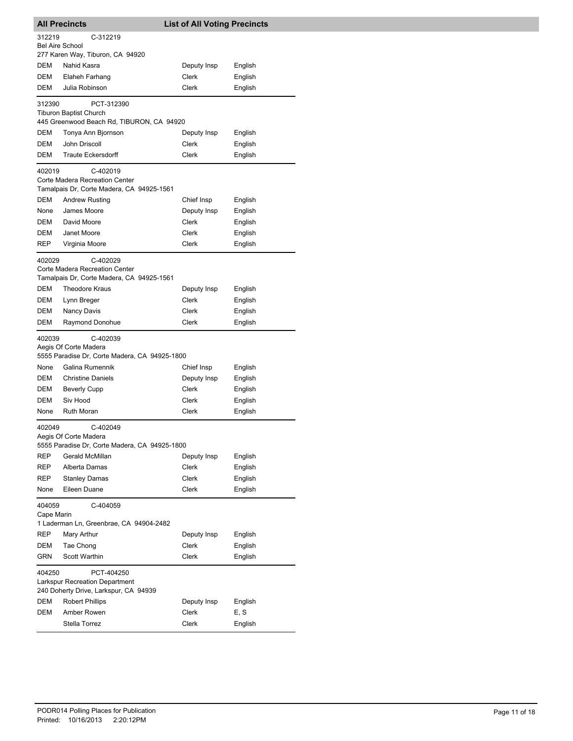|                                  | <b>All Precincts</b>                                                        | <b>List of All Voting Precincts</b> |                    |
|----------------------------------|-----------------------------------------------------------------------------|-------------------------------------|--------------------|
| 312219<br><b>Bel Aire School</b> | C-312219                                                                    |                                     |                    |
|                                  | 277 Karen Way, Tiburon, CA 94920                                            |                                     |                    |
| DEM                              | Nahid Kasra                                                                 | Deputy Insp                         | English            |
| <b>DEM</b>                       | Elaheh Farhang                                                              | Clerk                               | English            |
| <b>DEM</b>                       | Julia Robinson                                                              | Clerk                               | English            |
| 312390                           | PCT-312390                                                                  |                                     |                    |
|                                  | <b>Tiburon Baptist Church</b><br>445 Greenwood Beach Rd, TIBURON, CA 94920  |                                     |                    |
| DEM                              | Tonya Ann Bjornson                                                          | Deputy Insp                         | English            |
| DEM                              | John Driscoll                                                               | Clerk                               | English            |
| DEM                              | <b>Traute Eckersdorff</b>                                                   | Clerk                               | English            |
|                                  |                                                                             |                                     |                    |
| 402019                           | C-402019                                                                    |                                     |                    |
|                                  | Corte Madera Recreation Center<br>Tamalpais Dr, Corte Madera, CA 94925-1561 |                                     |                    |
| DEM                              | <b>Andrew Rusting</b>                                                       | Chief Insp                          | English            |
| None                             | James Moore                                                                 | Deputy Insp                         | English            |
| DEM                              | David Moore                                                                 | Clerk                               | English            |
| <b>DEM</b>                       | Janet Moore                                                                 | Clerk                               | English            |
| <b>REP</b>                       | Virginia Moore                                                              | Clerk                               | English            |
|                                  |                                                                             |                                     |                    |
| 402029                           | C-402029<br>Corte Madera Recreation Center                                  |                                     |                    |
|                                  | Tamalpais Dr, Corte Madera, CA 94925-1561                                   |                                     |                    |
| <b>DEM</b>                       | <b>Theodore Kraus</b>                                                       | Deputy Insp                         | English            |
| DEM                              | Lynn Breger                                                                 | Clerk                               | English            |
| <b>DEM</b>                       | Nancy Davis                                                                 | Clerk                               | English            |
| DEM                              | Raymond Donohue                                                             | Clerk                               | English            |
| 402039                           | C-402039                                                                    |                                     |                    |
|                                  | Aegis Of Corte Madera                                                       |                                     |                    |
|                                  | 5555 Paradise Dr, Corte Madera, CA 94925-1800                               |                                     |                    |
| None                             | Galina Rumennik                                                             | Chief Insp                          | English            |
| DEM                              | <b>Christine Daniels</b>                                                    | Deputy Insp                         | English            |
| DEM                              | <b>Beverly Cupp</b>                                                         | <b>Clerk</b>                        | English            |
| DEM                              | Siv Hood                                                                    | <b>Clerk</b>                        | English            |
| None                             | <b>Ruth Moran</b>                                                           | Clerk                               | English            |
| 402049                           | C-402049                                                                    |                                     |                    |
|                                  | Aegis Of Corte Madera                                                       |                                     |                    |
|                                  | 5555 Paradise Dr, Corte Madera, CA 94925-1800                               |                                     |                    |
| REP                              | Gerald McMillan                                                             | Deputy Insp                         | English            |
| REP                              | Alberta Damas                                                               | Clerk                               | English            |
| REP<br>None                      | <b>Stanley Damas</b><br>Eileen Duane                                        | Clerk<br>Clerk                      | English<br>English |
|                                  |                                                                             |                                     |                    |
| 404059                           | C-404059                                                                    |                                     |                    |
| Cape Marin                       | 1 Laderman Ln, Greenbrae, CA 94904-2482                                     |                                     |                    |
| REP                              | Mary Arthur                                                                 | Deputy Insp                         | English            |
| DEM                              | Tae Chong                                                                   | Clerk                               | English            |
| <b>GRN</b>                       | Scott Warthin                                                               | Clerk                               | English            |
|                                  |                                                                             |                                     |                    |
| 404250                           | PCT-404250<br><b>Larkspur Recreation Department</b>                         |                                     |                    |
|                                  | 240 Doherty Drive, Larkspur, CA 94939                                       |                                     |                    |
| DEM                              | <b>Robert Phillips</b>                                                      | Deputy Insp                         | English            |
| DEM                              | Amber Rowen                                                                 | Clerk                               | E, S               |
|                                  | Stella Torrez                                                               | Clerk                               | English            |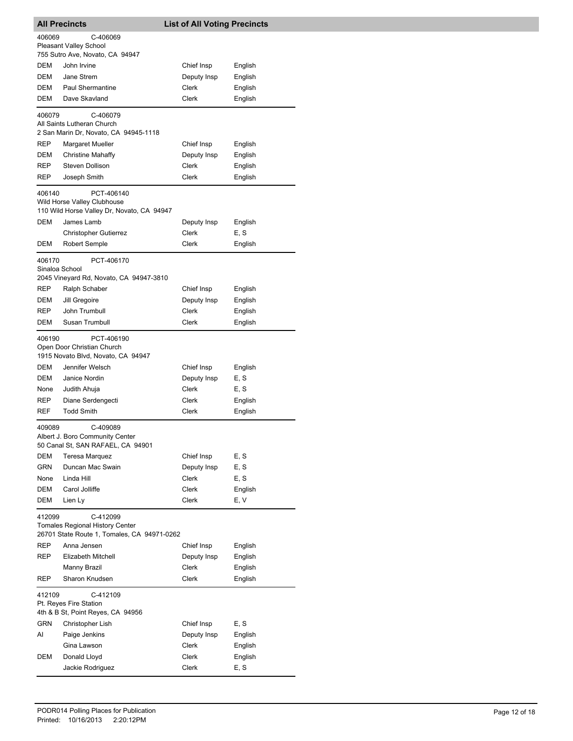|                          | <b>All Precincts</b>                                                                              | <b>List of All Voting Precincts</b> |         |
|--------------------------|---------------------------------------------------------------------------------------------------|-------------------------------------|---------|
| 406069                   | C-406069                                                                                          |                                     |         |
|                          | <b>Pleasant Valley School</b><br>755 Sutro Ave, Novato, CA 94947                                  |                                     |         |
| DEM                      | John Irvine                                                                                       | Chief Insp                          | English |
| DEM                      | Jane Strem                                                                                        | Deputy Insp                         | English |
| DEM                      | <b>Paul Shermantine</b>                                                                           | Clerk                               | English |
| DEM                      | Dave Skavland                                                                                     | Clerk                               | English |
| 406079                   | C-406079                                                                                          |                                     |         |
|                          | All Saints Lutheran Church<br>2 San Marin Dr, Novato, CA 94945-1118                               |                                     |         |
| REP                      | <b>Margaret Mueller</b>                                                                           | Chief Insp                          | English |
| DEM                      | <b>Christine Mahaffy</b>                                                                          | Deputy Insp                         | English |
| REP.                     | Steven Dollison                                                                                   | Clerk                               | English |
| <b>REP</b>               | Joseph Smith                                                                                      | Clerk                               | English |
| 406140                   | PCT-406140<br>Wild Horse Valley Clubhouse<br>110 Wild Horse Valley Dr, Novato, CA 94947           |                                     |         |
| <b>DEM</b>               | James Lamb                                                                                        | Deputy Insp                         | English |
|                          | <b>Christopher Gutierrez</b>                                                                      | Clerk                               | E, S    |
| DEM                      | <b>Robert Semple</b>                                                                              | Clerk                               | English |
| 406170<br>Sinaloa School | PCT-406170<br>2045 Vineyard Rd, Novato, CA 94947-3810                                             |                                     |         |
| REP                      | Ralph Schaber                                                                                     | Chief Insp                          | English |
| DEM                      | Jill Gregoire                                                                                     | Deputy Insp                         | English |
| REP                      | John Trumbull                                                                                     | Clerk                               | English |
| DEM                      | Susan Trumbull                                                                                    | Clerk                               | English |
| 406190                   | PCT-406190<br>Open Door Christian Church<br>1915 Novato Blvd, Novato, CA 94947                    |                                     |         |
| DEM                      | Jennifer Welsch                                                                                   | Chief Insp                          | English |
| DEM                      | Janice Nordin                                                                                     | Deputy Insp                         | E, S    |
| None                     | Judith Ahuja                                                                                      | Clerk                               | E, S    |
| <b>REP</b>               | Diane Serdengecti                                                                                 | Clerk                               | English |
| <b>REF</b>               | <b>Todd Smith</b>                                                                                 | Clerk                               | English |
| 409089                   | C-409089<br>Albert J. Boro Community Center<br>50 Canal St, SAN RAFAEL, CA 94901                  |                                     |         |
| DEM                      | <b>Teresa Marquez</b>                                                                             | Chief Insp                          | E, S    |
| GRN                      | Duncan Mac Swain                                                                                  | Deputy Insp                         | E, S    |
| None                     | Linda Hill                                                                                        | Clerk                               | E, S    |
| DEM                      | Carol Jolliffe                                                                                    | <b>Clerk</b>                        | English |
| DEM                      | Lien Ly                                                                                           | <b>Clerk</b>                        | E, V    |
| 412099                   | C-412099<br><b>Tomales Regional History Center</b><br>26701 State Route 1, Tomales, CA 94971-0262 |                                     |         |
| <b>REP</b>               | Anna Jensen                                                                                       | Chief Insp                          | English |
| REP                      | Elizabeth Mitchell                                                                                | Deputy Insp                         | English |
|                          | Manny Brazil                                                                                      | Clerk                               | English |
| REP                      | Sharon Knudsen                                                                                    | Clerk                               | English |
| 412109                   | C-412109<br>Pt. Reyes Fire Station<br>4th & B St, Point Reyes, CA 94956                           |                                     |         |
| <b>GRN</b>               | Christopher Lish                                                                                  | Chief Insp                          | E, S    |
| AI                       | Paige Jenkins                                                                                     | Deputy Insp                         | English |
|                          | Gina Lawson                                                                                       | Clerk                               | English |
| DEM                      | Donald Lloyd                                                                                      | Clerk                               | English |
|                          | Jackie Rodriguez                                                                                  | Clerk                               | E, S    |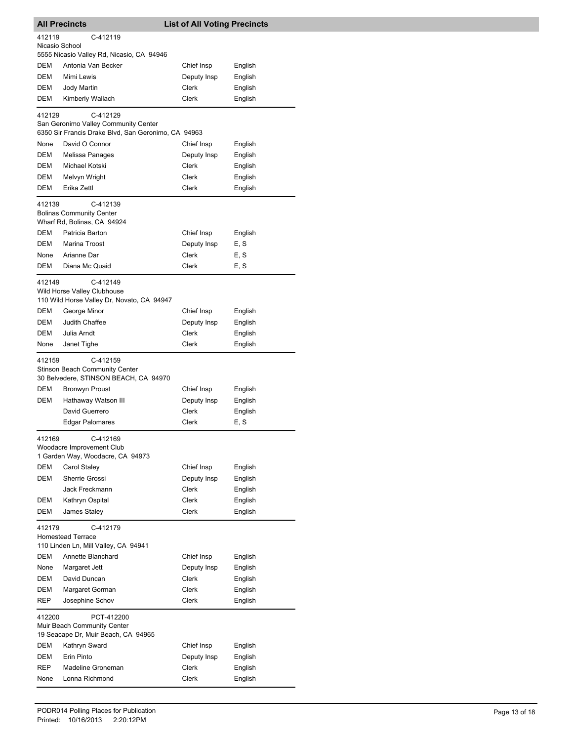| <b>List of All Voting Precincts</b><br><b>All Precincts</b>                                     |                                                                                                         |                |                    |  |
|-------------------------------------------------------------------------------------------------|---------------------------------------------------------------------------------------------------------|----------------|--------------------|--|
| 412119<br>C-412119<br>Nicasio School                                                            |                                                                                                         |                |                    |  |
|                                                                                                 | 5555 Nicasio Valley Rd, Nicasio, CA 94946                                                               |                |                    |  |
| DEM                                                                                             | Antonia Van Becker                                                                                      | Chief Insp     | English            |  |
| DEM                                                                                             | Mimi Lewis                                                                                              | Deputy Insp    | English            |  |
| DEM                                                                                             | Jody Martin                                                                                             | Clerk          | English            |  |
| DEM                                                                                             | Kimberly Wallach                                                                                        | Clerk          | English            |  |
| 412129                                                                                          | C-412129<br>San Geronimo Valley Community Center<br>6350 Sir Francis Drake Blvd, San Geronimo, CA 94963 |                |                    |  |
| None                                                                                            | David O Connor                                                                                          | Chief Insp     | English            |  |
| DEM                                                                                             | Melissa Panages                                                                                         | Deputy Insp    | English            |  |
| DEM                                                                                             | Michael Kotski                                                                                          | Clerk          | English            |  |
| DEM                                                                                             | Melvyn Wright                                                                                           | Clerk          | English            |  |
| DEM                                                                                             | Erika Zettl                                                                                             | Clerk          | English            |  |
| 412139                                                                                          | C-412139<br><b>Bolinas Community Center</b>                                                             |                |                    |  |
|                                                                                                 | Wharf Rd, Bolinas, CA 94924                                                                             |                |                    |  |
| DEM                                                                                             | Patricia Barton                                                                                         | Chief Insp     | English            |  |
| <b>DEM</b>                                                                                      | Marina Troost                                                                                           | Deputy Insp    | E, S               |  |
| None                                                                                            | Arianne Dar                                                                                             | Clerk          | E, S               |  |
| DEM                                                                                             | Diana Mc Quaid                                                                                          | Clerk          | E, S               |  |
| 412149<br>C-412149<br>Wild Horse Valley Clubhouse<br>110 Wild Horse Valley Dr, Novato, CA 94947 |                                                                                                         |                |                    |  |
| DEM                                                                                             | George Minor                                                                                            | Chief Insp     | English            |  |
| DEM                                                                                             | Judith Chaffee                                                                                          | Deputy Insp    | English            |  |
| DEM                                                                                             | Julia Arndt                                                                                             | Clerk          | English            |  |
| None                                                                                            | Janet Tighe                                                                                             | Clerk          | English            |  |
| 412159                                                                                          | C-412159<br>Stinson Beach Community Center<br>30 Belvedere, STINSON BEACH, CA 94970                     |                |                    |  |
| DEM                                                                                             | <b>Bronwyn Proust</b>                                                                                   | Chief Insp     | English            |  |
| DEM                                                                                             | Hathaway Watson III                                                                                     | Deputy Insp    | English            |  |
|                                                                                                 | David Guerrero                                                                                          | Clerk          | English            |  |
|                                                                                                 | Edgar Palomares                                                                                         | Clerk          | E, S               |  |
| 412169<br>C-412169<br>Woodacre Improvement Club<br>1 Garden Way, Woodacre, CA 94973             |                                                                                                         |                |                    |  |
| <b>DEM</b>                                                                                      | Carol Staley                                                                                            | Chief Insp     | English            |  |
| <b>DEM</b>                                                                                      | Sherrie Grossi                                                                                          | Deputy Insp    | English            |  |
|                                                                                                 | Jack Freckmann                                                                                          | <b>Clerk</b>   | English            |  |
| DEM                                                                                             | Kathryn Ospital                                                                                         | Clerk          | English            |  |
| <b>DEM</b>                                                                                      | James Staley                                                                                            | Clerk          | English            |  |
| 412179                                                                                          | C-412179<br><b>Homestead Terrace</b><br>110 Linden Ln, Mill Valley, CA 94941                            |                |                    |  |
| <b>DEM</b>                                                                                      | Annette Blanchard                                                                                       | Chief Insp     | English            |  |
| None                                                                                            | Margaret Jett                                                                                           | Deputy Insp    | English            |  |
| DEM                                                                                             | David Duncan                                                                                            | Clerk          | English            |  |
| DEM                                                                                             | Margaret Gorman                                                                                         | Clerk          | English            |  |
| REP                                                                                             | Josephine Schov                                                                                         | Clerk          | English            |  |
| 412200                                                                                          | PCT-412200<br>Muir Beach Community Center<br>19 Seacape Dr, Muir Beach, CA 94965                        |                |                    |  |
| DEM                                                                                             | Kathryn Sward                                                                                           | Chief Insp     | English            |  |
| DEM                                                                                             |                                                                                                         |                | English            |  |
|                                                                                                 | Erin Pinto                                                                                              | Deputy Insp    |                    |  |
| REP<br>None                                                                                     | Madeline Groneman<br>Lonna Richmond                                                                     | Clerk<br>Clerk | English<br>English |  |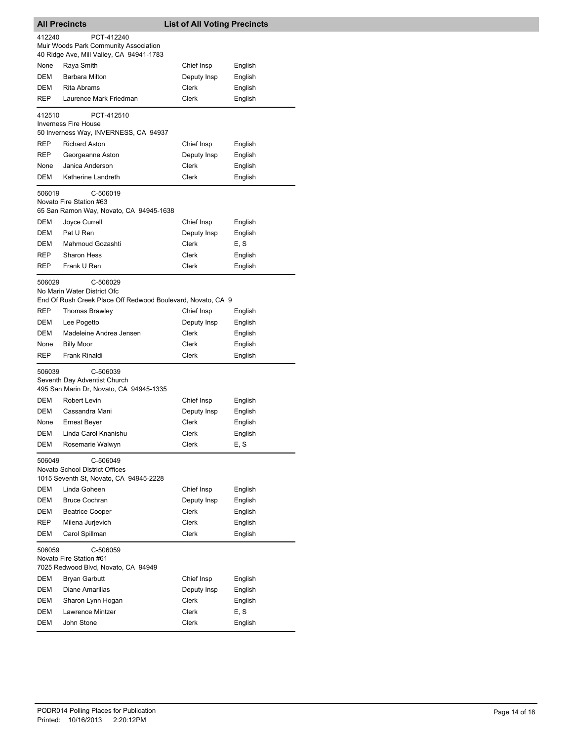| <b>All Precincts</b>                                                                                             |                                                                                      | <b>List of All Voting Precincts</b> |         |
|------------------------------------------------------------------------------------------------------------------|--------------------------------------------------------------------------------------|-------------------------------------|---------|
| 412240                                                                                                           | PCT-412240<br>Muir Woods Park Community Association                                  |                                     |         |
| None                                                                                                             | 40 Ridge Ave, Mill Valley, CA 94941-1783<br>Raya Smith                               | Chief Insp                          | English |
| DEM                                                                                                              | Barbara Milton                                                                       | Deputy Insp                         | English |
| DEM                                                                                                              | <b>Rita Abrams</b>                                                                   | Clerk                               | English |
| <b>REP</b>                                                                                                       | Laurence Mark Friedman                                                               | Clerk                               |         |
|                                                                                                                  |                                                                                      |                                     | English |
| 412510                                                                                                           | PCT-412510<br><b>Inverness Fire House</b><br>50 Inverness Way, INVERNESS, CA 94937   |                                     |         |
| REP                                                                                                              | <b>Richard Aston</b>                                                                 | Chief Insp                          | English |
| REP                                                                                                              | Georgeanne Aston                                                                     | Deputy Insp                         | English |
| None                                                                                                             | Janica Anderson                                                                      | Clerk                               | English |
| DEM                                                                                                              | Katherine Landreth                                                                   | Clerk                               | English |
| C-506019<br>506019<br>Novato Fire Station #63<br>65 San Ramon Way, Novato, CA 94945-1638                         |                                                                                      |                                     |         |
| <b>DEM</b>                                                                                                       | Joyce Currell                                                                        | Chief Insp                          | English |
| DEM                                                                                                              | Pat U Ren                                                                            | Deputy Insp                         | English |
| DEM                                                                                                              | Mahmoud Gozashti                                                                     | Clerk                               | E, S    |
| REP                                                                                                              | <b>Sharon Hess</b>                                                                   | Clerk                               | English |
| REP                                                                                                              | Frank U Ren                                                                          | Clerk                               | English |
| C-506029<br>506029<br>No Marin Water District Ofc<br>End Of Rush Creek Place Off Redwood Boulevard, Novato, CA 9 |                                                                                      |                                     |         |
| REP                                                                                                              | Thomas Brawley                                                                       | Chief Insp                          | English |
| DEM                                                                                                              | Lee Pogetto                                                                          | Deputy Insp                         | English |
| DEM                                                                                                              | Madeleine Andrea Jensen                                                              | Clerk                               | English |
| None                                                                                                             | <b>Billy Moor</b>                                                                    | Clerk                               | English |
| REP                                                                                                              | Frank Rinaldi                                                                        | Clerk                               | English |
| C-506039<br>506039<br>Seventh Day Adventist Church<br>495 San Marin Dr, Novato, CA 94945-1335                    |                                                                                      |                                     |         |
| DEM                                                                                                              | Robert Levin                                                                         | Chief Insp                          | English |
| DEM                                                                                                              | Cassandra Mani                                                                       | Deputy Insp                         | English |
| None                                                                                                             | <b>Ernest Beyer</b>                                                                  | <b>Clerk</b>                        | English |
| DEM                                                                                                              | Linda Carol Knanishu                                                                 | Clerk                               | English |
| DEM                                                                                                              | Rosemarie Walwyn                                                                     | Clerk                               | E, S    |
| 506049                                                                                                           | C-506049<br>Novato School District Offices<br>1015 Seventh St, Novato, CA 94945-2228 |                                     |         |
| DEM                                                                                                              | Linda Goheen                                                                         | Chief Insp                          | English |
| DEM                                                                                                              | <b>Bruce Cochran</b>                                                                 | Deputy Insp                         | English |
| DEM                                                                                                              | <b>Beatrice Cooper</b>                                                               | Clerk                               | English |
| REP                                                                                                              | Milena Jurjevich                                                                     | Clerk                               | English |
| DEM                                                                                                              | Carol Spillman                                                                       | Clerk                               | English |
| 506059                                                                                                           | C-506059<br>Novato Fire Station #61<br>7025 Redwood Blvd, Novato, CA 94949           |                                     |         |
| DEM                                                                                                              | Bryan Garbutt                                                                        | Chief Insp                          | English |
| DEM                                                                                                              | Diane Amarillas                                                                      | Deputy Insp                         | English |
| DEM                                                                                                              | Sharon Lynn Hogan                                                                    | Clerk                               | English |
| DEM                                                                                                              | Lawrence Mintzer                                                                     | Clerk                               | E, S    |
| DEM                                                                                                              | John Stone                                                                           | Clerk                               | English |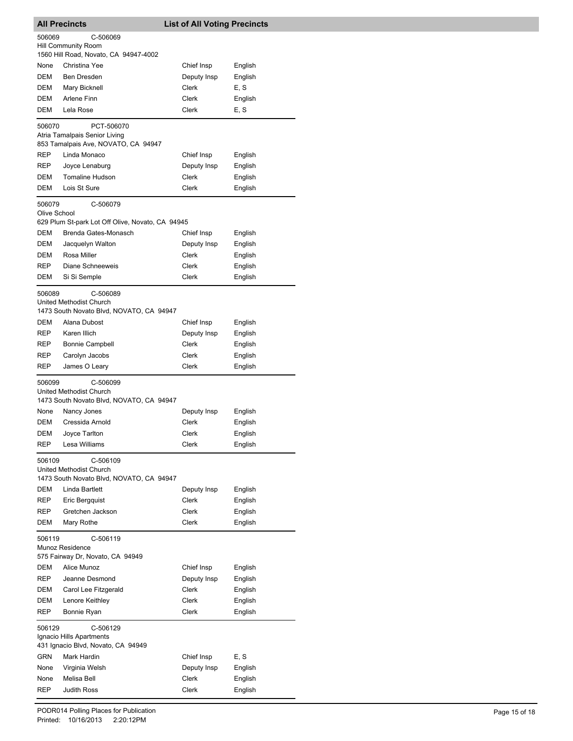|                                    | <b>All Precincts</b>                                                            | <b>List of All Voting Precincts</b> |                    |
|------------------------------------|---------------------------------------------------------------------------------|-------------------------------------|--------------------|
| 506069<br>C-506069                 |                                                                                 |                                     |                    |
|                                    | Hill Community Room                                                             |                                     |                    |
|                                    | 1560 Hill Road, Novato, CA 94947-4002                                           |                                     |                    |
| None                               | Christina Yee                                                                   | Chief Insp                          | English            |
| <b>DEM</b>                         | <b>Ben Dresden</b>                                                              | Deputy Insp                         | English            |
| DEM                                | Mary Bicknell                                                                   | Clerk                               | E, S               |
| DEM                                | Arlene Finn                                                                     | Clerk                               | English            |
| DEM                                | Lela Rose                                                                       | Clerk                               | E, S               |
| 506070                             | PCT-506070                                                                      |                                     |                    |
|                                    | Atria Tamalpais Senior Living<br>853 Tamalpais Ave, NOVATO, CA 94947            |                                     |                    |
| <b>REP</b>                         | Linda Monaco                                                                    | Chief Insp                          | English            |
| <b>REP</b>                         | Joyce Lenaburg                                                                  | Deputy Insp                         | English            |
| DEM                                | <b>Tomaline Hudson</b>                                                          | Clerk                               | English            |
| <b>DEM</b>                         | Lois St Sure                                                                    | Clerk                               | English            |
| 506079                             | C-506079                                                                        |                                     |                    |
| Olive School                       |                                                                                 |                                     |                    |
|                                    | 629 Plum St-park Lot Off Olive, Novato, CA 94945                                |                                     |                    |
| DEM                                | Brenda Gates-Monasch                                                            | Chief Insp                          | English            |
| DEM                                | Jacquelyn Walton                                                                | Deputy Insp                         | English            |
| <b>DEM</b>                         | Rosa Miller                                                                     | Clerk                               | English            |
| REP                                | Diane Schneeweis                                                                | Clerk                               | English            |
| DEM                                | Si Si Semple                                                                    | Clerk                               | English            |
| 506089                             | C-506089                                                                        |                                     |                    |
|                                    | United Methodist Church                                                         |                                     |                    |
|                                    | 1473 South Novato Blvd, NOVATO, CA 94947                                        |                                     |                    |
| DEM                                | Alana Dubost                                                                    | Chief Insp                          | English            |
| <b>REP</b>                         | Karen Illich                                                                    | Deputy Insp                         | English            |
| REP                                | <b>Bonnie Campbell</b>                                                          | Clerk                               | English            |
| REP                                | Carolyn Jacobs                                                                  | Clerk                               | English            |
| REP                                | James O Leary                                                                   | Clerk                               | English            |
| 506099                             | C-506099<br>United Methodist Church<br>1473 South Novato Blvd, NOVATO, CA 94947 |                                     |                    |
| None                               | Nancy Jones                                                                     | Deputy Insp                         | English            |
| DEM                                | Cressida Arnold                                                                 | Clerk                               | English            |
| DEM                                | Joyce Tarlton                                                                   | <b>Clerk</b>                        | English            |
| REP                                | Lesa Williams                                                                   | Clerk                               | English            |
| 506109                             | C-506109                                                                        |                                     |                    |
|                                    | United Methodist Church<br>1473 South Novato Blvd, NOVATO, CA 94947             |                                     |                    |
| DEM                                | Linda Bartlett                                                                  | Deputy Insp                         | English            |
| REP                                | Eric Bergquist                                                                  | Clerk                               | English            |
| REP                                | Gretchen Jackson                                                                | Clerk                               | English            |
| DEM                                | Mary Rothe                                                                      | Clerk                               | English            |
| 506119                             | C-506119<br>Munoz Residence                                                     |                                     |                    |
|                                    | 575 Fairway Dr, Novato, CA 94949                                                |                                     |                    |
| DEM                                | Alice Munoz                                                                     | Chief Insp                          | English            |
| REP                                | Jeanne Desmond                                                                  | Deputy Insp                         | English            |
| DEM                                | Carol Lee Fitzgerald                                                            | Clerk                               | English            |
| DEM<br>REP                         | Lenore Keithley<br>Bonnie Ryan                                                  | Clerk<br>Clerk                      | English<br>English |
| 506129                             | C-506129                                                                        |                                     |                    |
| Ignacio Hills Apartments           |                                                                                 |                                     |                    |
| 431 Ignacio Blvd, Novato, CA 94949 |                                                                                 |                                     |                    |
| GRN                                | Mark Hardin                                                                     | Chief Insp                          | E, S               |
| None                               | Virginia Welsh                                                                  | Deputy Insp                         | English            |
| None                               | Melisa Bell                                                                     | Clerk                               | English            |
| REP                                | Judith Ross                                                                     | Clerk                               | English            |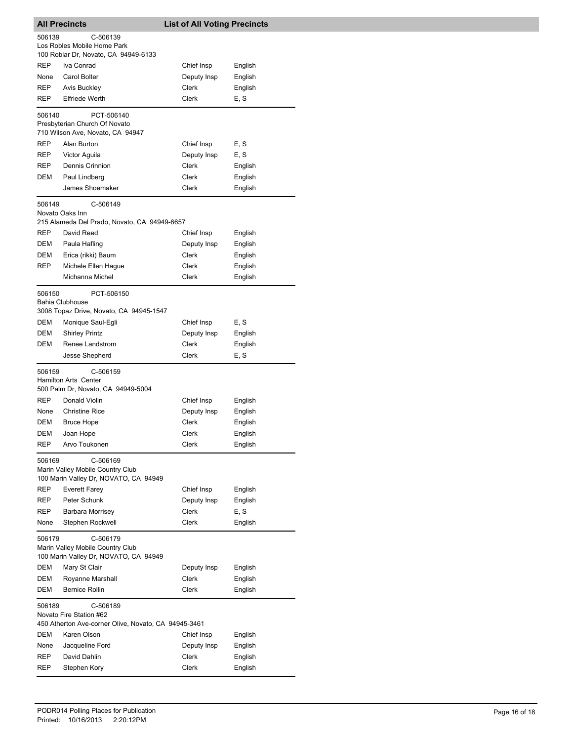| <b>All Precincts</b>                                                      |                                                                           | <b>List of All Voting Precincts</b> |         |  |
|---------------------------------------------------------------------------|---------------------------------------------------------------------------|-------------------------------------|---------|--|
| 506139<br>C-506139                                                        |                                                                           |                                     |         |  |
|                                                                           | Los Robles Mobile Home Park<br>100 Roblar Dr, Novato, CA 94949-6133       |                                     |         |  |
| REP                                                                       | Iva Conrad                                                                | Chief Insp                          | English |  |
| None                                                                      | Carol Bolter                                                              | Deputy Insp                         | English |  |
| REP                                                                       | Avis Buckley                                                              | Clerk                               | English |  |
| REP                                                                       | <b>Elfriede Werth</b>                                                     | Clerk                               | E, S    |  |
|                                                                           |                                                                           |                                     |         |  |
| 506140                                                                    | PCT-506140<br>Presbyterian Church Of Novato                               |                                     |         |  |
|                                                                           | 710 Wilson Ave, Novato, CA 94947                                          |                                     |         |  |
| REP                                                                       | Alan Burton                                                               | Chief Insp                          | E, S    |  |
| REP                                                                       | Victor Aguila                                                             | Deputy Insp                         | E, S    |  |
| REP                                                                       | Dennis Crinnion                                                           | Clerk                               | English |  |
| DEM                                                                       | Paul Lindberg                                                             | Clerk                               | English |  |
|                                                                           | James Shoemaker                                                           | Clerk                               | English |  |
| 506149                                                                    | C-506149                                                                  |                                     |         |  |
|                                                                           | Novato Oaks Inn<br>215 Alameda Del Prado, Novato, CA 94949-6657           |                                     |         |  |
| REP                                                                       | David Reed                                                                | Chief Insp                          | English |  |
| DEM                                                                       | Paula Hafling                                                             | Deputy Insp                         | English |  |
| DEM                                                                       | Erica (rikki) Baum                                                        | <b>Clerk</b>                        | English |  |
| REP                                                                       | Michele Ellen Hague                                                       | Clerk                               | English |  |
|                                                                           | Michanna Michel                                                           | Clerk                               | English |  |
| 506150                                                                    | PCT-506150                                                                |                                     |         |  |
|                                                                           | Bahia Clubhouse                                                           |                                     |         |  |
|                                                                           | 3008 Topaz Drive, Novato, CA 94945-1547                                   |                                     |         |  |
| DEM                                                                       | Monique Saul-Egli                                                         | Chief Insp                          | E, S    |  |
| DEM                                                                       | <b>Shirley Printz</b>                                                     | Deputy Insp                         | English |  |
| DEM                                                                       | Renee Landstrom                                                           | Clerk                               | English |  |
|                                                                           | Jesse Shepherd                                                            | Clerk                               | E, S    |  |
| 506159                                                                    | C-506159                                                                  |                                     |         |  |
|                                                                           | <b>Hamilton Arts Center</b>                                               |                                     |         |  |
|                                                                           | 500 Palm Dr, Novato, CA 94949-5004                                        |                                     |         |  |
| <b>REP</b>                                                                | Donald Violin                                                             | Chief Insp                          | English |  |
| None                                                                      | <b>Christine Rice</b>                                                     | Deputy Insp                         | English |  |
| DEM                                                                       | <b>Bruce Hope</b>                                                         | Clerk                               | English |  |
| DEM                                                                       | Joan Hope                                                                 | Clerk                               | English |  |
| REP                                                                       | Arvo Toukonen                                                             | Clerk                               | English |  |
| C-506169<br>506169                                                        |                                                                           |                                     |         |  |
|                                                                           | Marin Valley Mobile Country Club<br>100 Marin Valley Dr, NOVATO, CA 94949 |                                     |         |  |
| REP                                                                       | Everett Farey                                                             | Chief Insp                          | English |  |
| REP                                                                       | Peter Schunk                                                              | Deputy Insp                         | English |  |
| REP                                                                       | Barbara Morrisey                                                          | Clerk                               | E, S    |  |
| None                                                                      | Stephen Rockwell                                                          | Clerk                               | English |  |
| 506179<br>C-506179                                                        |                                                                           |                                     |         |  |
| Marin Valley Mobile Country Club<br>100 Marin Valley Dr, NOVATO, CA 94949 |                                                                           |                                     |         |  |
| DEM                                                                       | Mary St Clair                                                             | Deputy Insp                         | English |  |
| DEM                                                                       | Royanne Marshall                                                          | Clerk                               | English |  |
| DEM                                                                       | <b>Bernice Rollin</b>                                                     | Clerk                               | English |  |
| 506189                                                                    | C-506189<br>Novato Fire Station #62                                       |                                     |         |  |
|                                                                           | 450 Atherton Ave-corner Olive, Novato, CA 94945-3461                      |                                     |         |  |
| DEM                                                                       | Karen Olson                                                               | Chief Insp                          | English |  |
| None                                                                      | Jacqueline Ford                                                           | Deputy Insp                         | English |  |
| REP                                                                       | David Dahlin                                                              | Clerk                               | English |  |
| REP                                                                       | Stephen Kory                                                              | Clerk                               | English |  |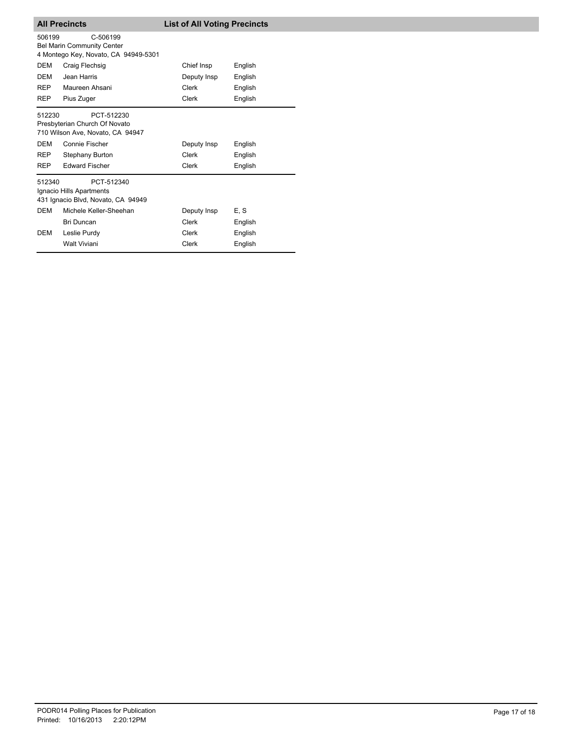| <b>All Precincts</b> |                                                                                       | <b>List of All Voting Precincts</b> |         |
|----------------------|---------------------------------------------------------------------------------------|-------------------------------------|---------|
| 506199               | C-506199<br><b>Bel Marin Community Center</b><br>4 Montego Key, Novato, CA 94949-5301 |                                     |         |
| DEM                  | Craig Flechsig                                                                        | Chief Insp                          | English |
| DEM                  | Jean Harris                                                                           | Deputy Insp                         | English |
| <b>REP</b>           | Maureen Ahsani                                                                        | <b>Clerk</b>                        | English |
| <b>REP</b>           | Pius Zuger                                                                            | Clerk                               | English |
| 512230               | PCT-512230<br>Presbyterian Church Of Novato<br>710 Wilson Ave, Novato, CA 94947       |                                     |         |
| <b>DEM</b>           | Connie Fischer                                                                        | Deputy Insp                         | English |
| <b>REP</b>           | Stephany Burton                                                                       | Clerk                               | English |
| <b>REP</b>           | <b>Edward Fischer</b>                                                                 | <b>Clerk</b>                        | English |
| 512340               | PCT-512340<br>Ignacio Hills Apartments<br>431 Ignacio Blvd, Novato, CA 94949          |                                     |         |
| <b>DEM</b>           | Michele Keller-Sheehan                                                                | Deputy Insp                         | E, S    |
|                      | <b>Bri Duncan</b>                                                                     | Clerk                               | English |
| DEM                  | Leslie Purdy                                                                          | Clerk                               | English |
|                      | <b>Walt Viviani</b>                                                                   | Clerk                               | English |
|                      |                                                                                       |                                     |         |